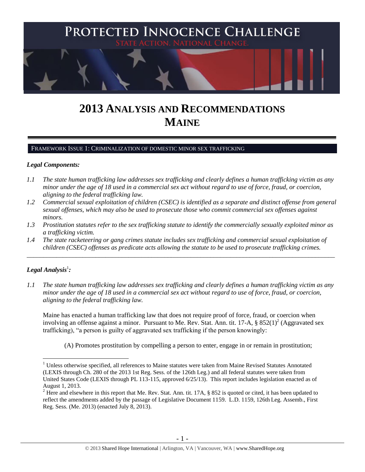

# **2013 ANALYSIS AND RECOMMENDATIONS MAINE**

#### FRAMEWORK ISSUE 1: CRIMINALIZATION OF DOMESTIC MINOR SEX TRAFFICKING

#### *Legal Components:*

- *1.1 The state human trafficking law addresses sex trafficking and clearly defines a human trafficking victim as any minor under the age of 18 used in a commercial sex act without regard to use of force, fraud, or coercion, aligning to the federal trafficking law.*
- *1.2 Commercial sexual exploitation of children (CSEC) is identified as a separate and distinct offense from general sexual offenses, which may also be used to prosecute those who commit commercial sex offenses against minors.*
- *1.3 Prostitution statutes refer to the sex trafficking statute to identify the commercially sexually exploited minor as a trafficking victim.*

\_\_\_\_\_\_\_\_\_\_\_\_\_\_\_\_\_\_\_\_\_\_\_\_\_\_\_\_\_\_\_\_\_\_\_\_\_\_\_\_\_\_\_\_\_\_\_\_\_\_\_\_\_\_\_\_\_\_\_\_\_\_\_\_\_\_\_\_\_\_\_\_\_\_\_\_\_\_\_\_\_\_\_\_\_\_\_\_\_\_\_\_\_\_

*1.4 The state racketeering or gang crimes statute includes sex trafficking and commercial sexual exploitation of children (CSEC) offenses as predicate acts allowing the statute to be used to prosecute trafficking crimes.* 

# $\bm{L}$ egal Analysis $^1$ :

 $\overline{a}$ 

*1.1 The state human trafficking law addresses sex trafficking and clearly defines a human trafficking victim as any minor under the age of 18 used in a commercial sex act without regard to use of force, fraud, or coercion, aligning to the federal trafficking law.*

Maine has enacted a human trafficking law that does not require proof of force, fraud, or coercion when involving an offense against a minor. Pursuant to Me. Rev. Stat. Ann. tit. 17-A,  $\S 852(1)^2$  (Aggravated sex trafficking), "a person is guilty of aggravated sex trafficking if the person knowingly:

<span id="page-0-0"></span>(A) Promotes prostitution by compelling a person to enter, engage in or remain in prostitution;

<sup>&</sup>lt;sup>1</sup> Unless otherwise specified, all references to Maine statutes were taken from Maine Revised Statutes Annotated (LEXIS through Ch. 280 of the 2013 1st Reg. Sess. of the 126th Leg.) and all federal statutes were taken from United States Code (LEXIS through PL 113-115, approved 6/25/13). This report includes legislation enacted as of August 1, 2013.

 $2$  Here and elsewhere in this report that Me. Rev. Stat. Ann. tit. 17A, § 852 is quoted or cited, it has been updated to reflect the amendments added by the passage of Legislative Document 1159. L.D. 1159, 126th Leg. Assemb., First Reg. Sess. (Me. 2013) (enacted July 8, 2013).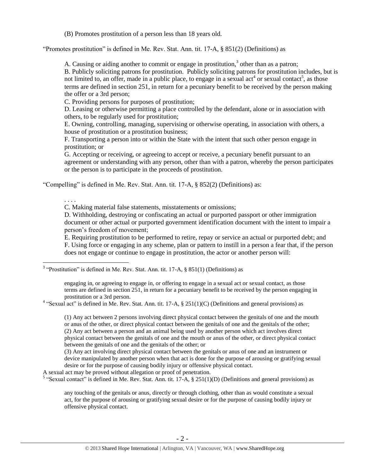(B) Promotes prostitution of a person less than 18 years old.

"Promotes prostitution" is defined in Me. Rev. Stat. Ann. tit. 17-A, § 851(2) (Definitions) as

<span id="page-1-1"></span>A. Causing or aiding another to commit or engage in prostitution, $3$  other than as a patron;

<span id="page-1-0"></span>B. Publicly soliciting patrons for prostitution. Publicly soliciting patrons for prostitution includes, but is not limited to, an offer, made in a public place, to engage in a sexual act<sup>4</sup> or sexual contact<sup>5</sup>, as those terms are defined in section 251, in return for a pecuniary benefit to be received by the person making the offer or a 3rd person;

C. Providing persons for purposes of prostitution;

. . . .

 $\overline{a}$ 

D. Leasing or otherwise permitting a place controlled by the defendant, alone or in association with others, to be regularly used for prostitution;

E. Owning, controlling, managing, supervising or otherwise operating, in association with others, a house of prostitution or a prostitution business;

F. Transporting a person into or within the State with the intent that such other person engage in prostitution; or

G. Accepting or receiving, or agreeing to accept or receive, a pecuniary benefit pursuant to an agreement or understanding with any person, other than with a patron, whereby the person participates or the person is to participate in the proceeds of prostitution.

"Compelling" is defined in Me. Rev. Stat. Ann. tit. 17-A, § 852(2) (Definitions) as:

C. Making material false statements, misstatements or omissions;

D. Withholding, destroying or confiscating an actual or purported passport or other immigration document or other actual or purported government identification document with the intent to impair a person's freedom of movement;

E. Requiring prostitution to be performed to retire, repay or service an actual or purported debt; and F. Using force or engaging in any scheme, plan or pattern to instill in a person a fear that, if the person does not engage or continue to engage in prostitution, the actor or another person will:

 $3$  "Prostitution" is defined in Me. Rev. Stat. Ann. tit. 17-A,  $\S$  851(1) (Definitions) as

engaging in, or agreeing to engage in, or offering to engage in a sexual act or sexual contact, as those terms are defined in section 251, in return for a pecuniary benefit to be received by the person engaging in prostitution or a 3rd person.

<sup>4</sup> "Sexual act" is defined in Me. Rev. Stat. Ann. tit. 17-A,  $\S$  251(1)(C) (Definitions and general provisions) as

(1) Any act between 2 persons involving direct physical contact between the genitals of one and the mouth or anus of the other, or direct physical contact between the genitals of one and the genitals of the other; (2) Any act between a person and an animal being used by another person which act involves direct physical contact between the genitals of one and the mouth or anus of the other, or direct physical contact between the genitals of one and the genitals of the other; or

(3) Any act involving direct physical contact between the genitals or anus of one and an instrument or device manipulated by another person when that act is done for the purpose of arousing or gratifying sexual desire or for the purpose of causing bodily injury or offensive physical contact.

A sexual act may be proved without allegation or proof of penetration.

<sup>5</sup> "Sexual contact" is defined in Me. Rev. Stat. Ann. tit. 17-A,  $\S$  251(1)(D) (Definitions and general provisions) as

any touching of the genitals or anus, directly or through clothing, other than as would constitute a sexual act, for the purpose of arousing or gratifying sexual desire or for the purpose of causing bodily injury or offensive physical contact.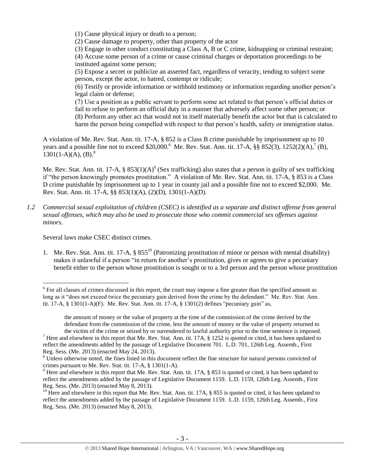(1) Cause physical injury or death to a person;

(2) Cause damage to property, other than property of the actor

(3) Engage in other conduct constituting a Class A, B or C crime, kidnapping or criminal restraint;

(4) Accuse some person of a crime or cause criminal charges or deportation proceedings to be instituted against some person;

(5) Expose a secret or publicize an asserted fact, regardless of veracity, tending to subject some person, except the actor, to hatred, contempt or ridicule;

(6) Testify or provide information or withhold testimony or information regarding another person's legal claim or defense;

<span id="page-2-2"></span><span id="page-2-1"></span>(7) Use a position as a public servant to perform some act related to that person's official duties or fail to refuse to perform an official duty in a manner that adversely affect some other person; or (8) Perform any other act that would not in itself materially benefit the actor but that is calculated to harm the person being compelled with respect to that person's health, safety or immigration status.

A violation of Me. Rev. Stat. Ann. tit. 17-A, § 852 is a Class B crime punishable by imprisonment up to 10 years and a possible fine not to exceed \$20,000.<sup>6</sup> Me. Rev. Stat. Ann. tit. 17-A,  $\S\$  852(3), 1252(2)(A),<sup>7</sup> (B),  $1301(1-A)(A)$ , (B).<sup>8</sup>

Me. Rev. Stat. Ann. tit. 17-A,  $\S 853(1)(A)^9$  (Sex trafficking) also states that a person is guilty of sex trafficking if "the person knowingly promotes prostitution." A violation of Me. Rev. Stat. Ann. tit. 17-A, § 853 is a Class D crime punishable by imprisonment up to 1 year in county jail and a possible fine not to exceed \$2,000. Me. Rev. Stat. Ann. tit. 17-A, §§ 853(1)(A), (2)(D), 1301(1-A)(D).

*1.2 Commercial sexual exploitation of children (CSEC) is identified as a separate and distinct offense from general sexual offenses, which may also be used to prosecute those who commit commercial sex offenses against minors.*

Several laws make CSEC distinct crimes.

 $\overline{a}$ 

<span id="page-2-0"></span>1. Me. Rev. Stat. Ann. tit. 17-A,  $\S 855^{10}$  (Patronizing prostitution of minor or person with mental disability) makes it unlawful if a person "in return for another's prostitution, gives or agrees to give a pecuniary benefit either to the person whose prostitution is sought or to a 3rd person and the person whose prostitution

<sup>&</sup>lt;sup>6</sup> For all classes of crimes discussed in this report, the court may impose a fine greater than the specified amount as long as it "does not exceed twice the pecuniary gain derived from the crime by the defendant." Me. Rev. Stat. Ann. tit. 17-A, § 1301(1-A)(F). Me. Rev. Stat. Ann. tit. 17-A, § 1301(2) defines "pecuniary gain" as,

the amount of money or the value of property at the time of the commission of the crime derived by the defendant from the commission of the crime, less the amount of money or the value of property returned to the victim of the crime or seized by or surrendered to lawful authority prior to the time sentence is imposed.

 $<sup>7</sup>$  Here and elsewhere in this report that Me. Rev. Stat. Ann. tit. 17A,  $§$  1252 is quoted or cited, it has been updated to</sup> reflect the amendments added by the passage of Legislative Document 701. L.D. 701, 126th Leg. Assemb., First Reg. Sess. (Me. 2013) (enacted May 24, 2013).

<sup>&</sup>lt;sup>8</sup> Unless otherwise noted, the fines listed in this document reflect the fine structure for natural persons convicted of crimes pursuant to Me. Rev. Stat. tit. 17-A, § 1301(1-A).

<sup>&</sup>lt;sup>9</sup> Here and elsewhere in this report that Me. Rev. Stat. Ann. tit. 17A, § 853 is quoted or cited, it has been updated to reflect the amendments added by the passage of Legislative Document 1159. L.D. 1159, 126th Leg. Assemb., First Reg. Sess. (Me. 2013) (enacted May 8, 2013).

<sup>&</sup>lt;sup>10</sup> Here and elsewhere in this report that Me. Rev. Stat. Ann. tit. 17A, § 855 is quoted or cited, it has been updated to reflect the amendments added by the passage of Legislative Document 1159. L.D. 1159, 126th Leg. Assemb., First Reg. Sess. (Me. 2013) (enacted May 8, 2013).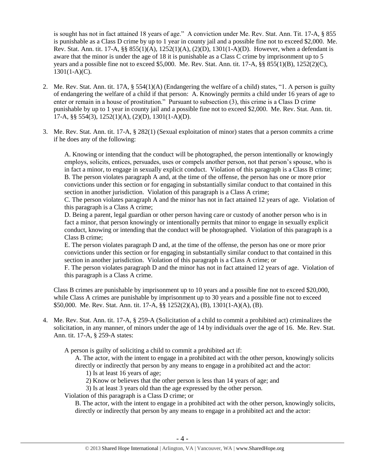is sought has not in fact attained 18 years of age." A conviction under Me. Rev. Stat. Ann. Tit. 17-A, § 855 is punishable as a Class D crime by up to 1 year in county jail and a possible fine not to exceed \$2,000. Me. Rev. Stat. Ann. tit. 17-A, §§ 855(1)(A), 1252(1)(A), (2)(D), 1301(1-A)(D). However, when a defendant is aware that the minor is under the age of 18 it is punishable as a Class C crime by imprisonment up to 5 years and a possible fine not to exceed \$5,000. Me. Rev. Stat. Ann. tit. 17-A, §§ 855(1)(B), 1252(2)(C),  $1301(1-A)(C)$ .

- 2. Me. Rev. Stat. Ann. tit. 17A, § 554(1)(A) (Endangering the welfare of a child) states, "1. A person is guilty of endangering the welfare of a child if that person: A. Knowingly permits a child under 16 years of age to enter or remain in a house of prostitution." Pursuant to subsection (3), this crime is a Class D crime punishable by up to 1 year in county jail and a possible fine not to exceed \$2,000. Me. Rev. Stat. Ann. tit. 17-A, §§ 554(3), 1252(1)(A), (2)(D), 1301(1-A)(D).
- 3. Me. Rev. Stat. Ann. tit. 17-A, § 282(1) (Sexual exploitation of minor) states that a person commits a crime if he does any of the following:

A. Knowing or intending that the conduct will be photographed, the person intentionally or knowingly employs, solicits, entices, persuades, uses or compels another person, not that person's spouse, who is in fact a minor, to engage in sexually explicit conduct. Violation of this paragraph is a Class B crime; B. The person violates paragraph A and, at the time of the offense, the person has one or more prior convictions under this section or for engaging in substantially similar conduct to that contained in this section in another jurisdiction. Violation of this paragraph is a Class A crime;

C. The person violates paragraph A and the minor has not in fact attained 12 years of age. Violation of this paragraph is a Class A crime;

D. Being a parent, legal guardian or other person having care or custody of another person who is in fact a minor, that person knowingly or intentionally permits that minor to engage in sexually explicit conduct, knowing or intending that the conduct will be photographed. Violation of this paragraph is a Class B crime;

E. The person violates paragraph D and, at the time of the offense, the person has one or more prior convictions under this section or for engaging in substantially similar conduct to that contained in this section in another jurisdiction. Violation of this paragraph is a Class A crime; or

F. The person violates paragraph D and the minor has not in fact attained 12 years of age. Violation of this paragraph is a Class A crime.

Class B crimes are punishable by imprisonment up to 10 years and a possible fine not to exceed \$20,000, while Class A crimes are punishable by imprisonment up to 30 years and a possible fine not to exceed \$50,000. Me. Rev. Stat. Ann. tit. 17-A, §§ 1252(2)(A), (B), 1301(1-A)(A), (B).

4. Me. Rev. Stat. Ann. tit. 17-A, § 259-A (Solicitation of a child to commit a prohibited act) criminalizes the solicitation, in any manner, of minors under the age of 14 by individuals over the age of 16. Me. Rev. Stat. Ann. tit. 17-A, § 259-A states:

A person is guilty of soliciting a child to commit a prohibited act if:

A. The actor, with the intent to engage in a prohibited act with the other person, knowingly solicits directly or indirectly that person by any means to engage in a prohibited act and the actor:

- 1) Is at least 16 years of age;
- 2) Know or believes that the other person is less than 14 years of age; and
- 3) Is at least 3 years old than the age expressed by the other person.
- Violation of this paragraph is a Class D crime; or

B. The actor, with the intent to engage in a prohibited act with the other person, knowingly solicits, directly or indirectly that person by any means to engage in a prohibited act and the actor: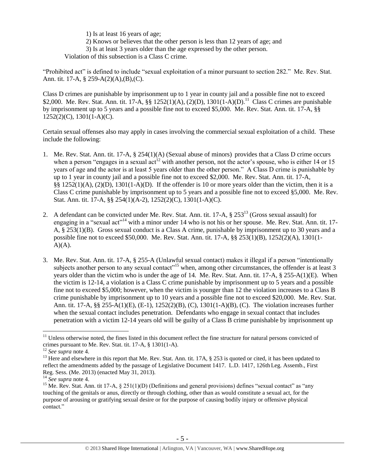- 1) Is at least 16 years of age;
- 2) Knows or believes that the other person is less than 12 years of age; and

3) Is at least 3 years older than the age expressed by the other person.

Violation of this subsection is a Class C crime.

"Prohibited act" is defined to include "sexual exploitation of a minor pursuant to section 282." Me. Rev. Stat. Ann. tit. 17-A, § 259-A(2)(A),(B),(C).

Class D crimes are punishable by imprisonment up to 1 year in county jail and a possible fine not to exceed \$2,000. Me. Rev. Stat. Ann. tit. 17-A, §§ 1252(1)(A), (2)(D), 1301(1-A)(D).<sup>11</sup> Class C crimes are punishable by imprisonment up to 5 years and a possible fine not to exceed \$5,000. Me. Rev. Stat. Ann. tit. 17-A, §§ 1252(2)(C), 1301(1-A)(C).

Certain sexual offenses also may apply in cases involving the commercial sexual exploitation of a child. These include the following:

- 1. Me. Rev. Stat. Ann. tit. 17-A, § 254(1)(A) (Sexual abuse of minors) provides that a Class D crime occurs when a person "engages in a sexual act<sup>12</sup> with another person, not the actor's spouse, who is either 14 or 15 years of age and the actor is at least 5 years older than the other person." A Class D crime is punishable by up to 1 year in county jail and a possible fine not to exceed \$2,000. Me. Rev. Stat. Ann. tit. 17-A, §§ 1252(1)(A), (2)(D), 1301(1-A)(D). If the offender is 10 or more years older than the victim, then it is a Class C crime punishable by imprisonment up to 5 years and a possible fine not to exceed §5,000. Me. Rev. Stat. Ann. tit. 17-A, §§ 254(1)(A-2), 1252(2)(C), 1301(1-A)(C).
- <span id="page-4-0"></span>2. A defendant can be convicted under Me. Rev. Stat. Ann. tit. 17-A, § 253<sup>13</sup> (Gross sexual assault) for engaging in a "sexual act"<sup>14</sup> with a minor under 14 who is not his or her spouse. Me. Rev. Stat. Ann. tit. 17-A, § 253(1)(B). Gross sexual conduct is a Class A crime, punishable by imprisonment up to 30 years and a possible fine not to exceed \$50,000. Me. Rev. Stat. Ann. tit. 17-A, §§ 253(1)(B), 1252(2)(A), 1301(1-  $A)(A)$ .
- 3. Me. Rev. Stat. Ann. tit. 17-A, § 255-A (Unlawful sexual contact) makes it illegal if a person "intentionally subjects another person to any sexual contact<sup> $,15$ </sup> when, among other circumstances, the offender is at least 3 years older than the victim who is under the age of 14. Me. Rev. Stat. Ann. tit. 17-A, § 255-A(1)(E). When the victim is 12-14, a violation is a Class C crime punishable by imprisonment up to 5 years and a possible fine not to exceed \$5,000; however, when the victim is younger than 12 the violation increases to a Class B crime punishable by imprisonment up to 10 years and a possible fine not to exceed \$20,000. Me. Rev. Stat. Ann. tit. 17-A, §§ 255-A(1)(E), (E-1), 1252(2)(B), (C), 1301(1-A)(B), (C). The violation increases further when the sexual contact includes penetration. Defendants who engage in sexual contact that includes penetration with a victim 12-14 years old will be guilty of a Class B crime punishable by imprisonment up

<sup>&</sup>lt;sup>11</sup> Unless otherwise noted, the fines listed in this document reflect the fine structure for natural persons convicted of crimes pursuant to Me. Rev. Stat. tit. 17-A, § 1301(1-A).

<sup>12</sup> *See supra* note [4.](#page-1-0)

<sup>&</sup>lt;sup>13</sup> Here and elsewhere in this report that Me. Rev. Stat. Ann. tit. 17A,  $\S$  253 is quoted or cited, it has been updated to reflect the amendments added by the passage of Legislative Document 1417. L.D. 1417, 126th Leg. Assemb., First Reg. Sess. (Me. 2013) (enacted May 31, 2013).

<sup>14</sup> *See supra* note [4.](#page-1-0)

<sup>&</sup>lt;sup>15</sup> Me. Rev. Stat. Ann. tit 17-A,  $\S 251(1)(D)$  (Definitions and general provisions) defines "sexual contact" as "any touching of the genitals or anus, directly or through clothing, other than as would constitute a sexual act, for the purpose of arousing or gratifying sexual desire or for the purpose of causing bodily injury or offensive physical contact."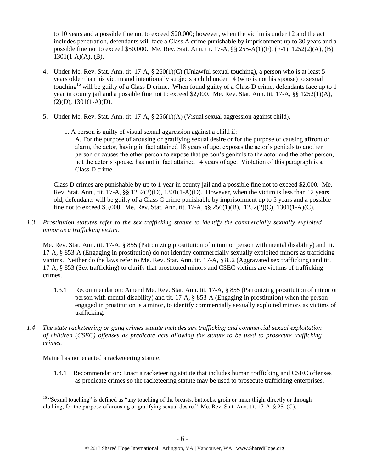to 10 years and a possible fine not to exceed \$20,000; however, when the victim is under 12 and the act includes penetration, defendants will face a Class A crime punishable by imprisonment up to 30 years and a possible fine not to exceed \$50,000. Me. Rev. Stat. Ann. tit. 17-A, §§ 255-A(1)(F), (F-1), 1252(2)(A), (B),  $1301(1-A)(A)$ , (B).

- 4. Under Me. Rev. Stat. Ann. tit. 17-A, § 260(1)(C) (Unlawful sexual touching), a person who is at least 5 years older than his victim and intentionally subjects a child under 14 (who is not his spouse) to sexual touching<sup>16</sup> will be guilty of a Class D crime. When found guilty of a Class D crime, defendants face up to 1 year in county jail and a possible fine not to exceed \$2,000. Me. Rev. Stat. Ann. tit. 17-A, §§ 1252(1)(A),  $(2)(D), 1301(1-A)(D).$
- 5. Under Me. Rev. Stat. Ann. tit. 17-A, § 256(1)(A) (Visual sexual aggression against child),
	- 1. A person is guilty of visual sexual aggression against a child if:

A. For the purpose of arousing or gratifying sexual desire or for the purpose of causing affront or alarm, the actor, having in fact attained 18 years of age, exposes the actor's genitals to another person or causes the other person to expose that person's genitals to the actor and the other person, not the actor's spouse, has not in fact attained 14 years of age. Violation of this paragraph is a Class D crime.

Class D crimes are punishable by up to 1 year in county jail and a possible fine not to exceed \$2,000. Me. Rev. Stat. Ann., tit. 17-A,  $\S$ § 1252(2)(D), 1301(1-A)(D). However, when the victim is less than 12 years old, defendants will be guilty of a Class C crime punishable by imprisonment up to 5 years and a possible fine not to exceed \$5,000. Me. Rev. Stat. Ann. tit. 17-A, §§ 256(1)(B), 1252(2)(C), 1301(1-A)(C).

*1.3 Prostitution statutes refer to the sex trafficking statute to identify the commercially sexually exploited minor as a trafficking victim.* 

Me. Rev. Stat. Ann. tit. 17-A, § 855 (Patronizing prostitution of minor or person with mental disability) and tit. 17-A, § 853-A (Engaging in prostitution) do not identify commercially sexually exploited minors as trafficking victims. Neither do the laws refer to Me. Rev. Stat. Ann. tit. 17-A, § 852 (Aggravated sex trafficking) and tit. 17-A, § 853 (Sex trafficking) to clarify that prostituted minors and CSEC victims are victims of trafficking crimes.

- 1.3.1 Recommendation: Amend Me. Rev. Stat. Ann. tit. 17-A, § 855 (Patronizing prostitution of minor or person with mental disability) and tit. 17-A, § 853-A (Engaging in prostitution) when the person engaged in prostitution is a minor, to identify commercially sexually exploited minors as victims of trafficking.
- *1.4 The state racketeering or gang crimes statute includes sex trafficking and commercial sexual exploitation of children (CSEC) offenses as predicate acts allowing the statute to be used to prosecute trafficking crimes.*

Maine has not enacted a racketeering statute.

 $\overline{a}$ 

1.4.1 Recommendation: Enact a racketeering statute that includes human trafficking and CSEC offenses as predicate crimes so the racketeering statute may be used to prosecute trafficking enterprises.

<sup>&</sup>lt;sup>16</sup> "Sexual touching" is defined as "any touching of the breasts, buttocks, groin or inner thigh, directly or through clothing, for the purpose of arousing or gratifying sexual desire." Me. Rev. Stat. Ann. tit. 17-A, § 251(G).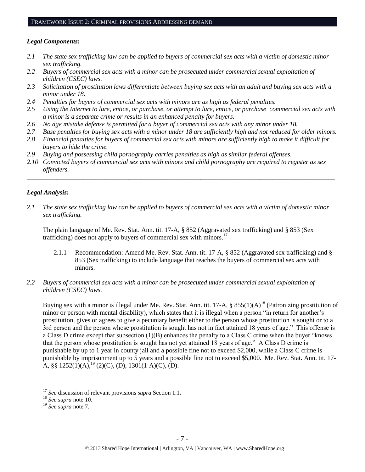#### FRAMEWORK ISSUE 2: CRIMINAL PROVISIONS ADDRESSING DEMAND

## *Legal Components:*

- *2.1 The state sex trafficking law can be applied to buyers of commercial sex acts with a victim of domestic minor sex trafficking.*
- *2.2 Buyers of commercial sex acts with a minor can be prosecuted under commercial sexual exploitation of children (CSEC) laws.*
- *2.3 Solicitation of prostitution laws differentiate between buying sex acts with an adult and buying sex acts with a minor under 18.*
- *2.4 Penalties for buyers of commercial sex acts with minors are as high as federal penalties.*
- *2.5 Using the Internet to lure, entice, or purchase, or attempt to lure, entice, or purchase commercial sex acts with a minor is a separate crime or results in an enhanced penalty for buyers.*
- *2.6 No age mistake defense is permitted for a buyer of commercial sex acts with any minor under 18.*
- *2.7 Base penalties for buying sex acts with a minor under 18 are sufficiently high and not reduced for older minors.*
- *2.8 Financial penalties for buyers of commercial sex acts with minors are sufficiently high to make it difficult for buyers to hide the crime.*
- *2.9 Buying and possessing child pornography carries penalties as high as similar federal offenses.*
- *2.10 Convicted buyers of commercial sex acts with minors and child pornography are required to register as sex offenders.*

\_\_\_\_\_\_\_\_\_\_\_\_\_\_\_\_\_\_\_\_\_\_\_\_\_\_\_\_\_\_\_\_\_\_\_\_\_\_\_\_\_\_\_\_\_\_\_\_\_\_\_\_\_\_\_\_\_\_\_\_\_\_\_\_\_\_\_\_\_\_\_\_\_\_\_\_\_\_\_\_\_\_\_\_\_\_\_\_\_\_\_\_\_\_

## *Legal Analysis:*

*2.1 The state sex trafficking law can be applied to buyers of commercial sex acts with a victim of domestic minor sex trafficking.* 

The plain language of Me. Rev. Stat. Ann. tit. 17-A, § 852 (Aggravated sex trafficking) and § 853 (Sex trafficking) does not apply to buyers of commercial sex with minors.<sup>17</sup>

- 2.1.1 Recommendation: Amend Me. Rev. Stat. Ann. tit. 17-A, § 852 (Aggravated sex trafficking) and § 853 (Sex trafficking) to include language that reaches the buyers of commercial sex acts with minors.
- *2.2 Buyers of commercial sex acts with a minor can be prosecuted under commercial sexual exploitation of children (CSEC) laws.*

Buying sex with a minor is illegal under Me. Rev. Stat. Ann. tit. 17-A,  $\S 855(1)(A)^{18}$  (Patronizing prostitution of minor or person with mental disability), which states that it is illegal when a person "in return for another's prostitution, gives or agrees to give a pecuniary benefit either to the person whose prostitution is sought or to a 3rd person and the person whose prostitution is sought has not in fact attained 18 years of age." This offense is a Class D crime except that subsection (1)(B) enhances the penalty to a Class C crime when the buyer "knows that the person whose prostitution is sought has not yet attained 18 years of age." A Class D crime is punishable by up to 1 year in county jail and a possible fine not to exceed \$2,000, while a Class C crime is punishable by imprisonment up to 5 years and a possible fine not to exceed \$5,000. Me. Rev. Stat. Ann. tit. 17- A, §§ 1252(1)(A),<sup>19</sup> (2)(C), (D), 1301(1-A)(C), (D).

<sup>17</sup> *See* discussion of relevant provisions *supra* Section 1.1.

<sup>18</sup> *See supra* note [10.](#page-2-0)

<sup>19</sup> *See supra* note [7.](#page-2-1)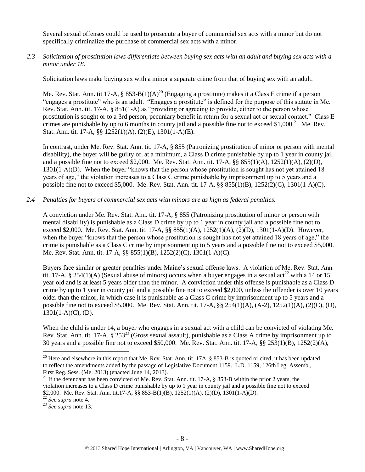Several sexual offenses could be used to prosecute a buyer of commercial sex acts with a minor but do not specifically criminalize the purchase of commercial sex acts with a minor.

# *2.3 Solicitation of prostitution laws differentiate between buying sex acts with an adult and buying sex acts with a minor under 18.*

Solicitation laws make buying sex with a minor a separate crime from that of buying sex with an adult.

Me. Rev. Stat. Ann. tit 17-A, § 853-B(1)(A)<sup>20</sup> (Engaging a prostitute) makes it a Class E crime if a person "engages a prostitute" who is an adult. "Engages a prostitute" is defined for the purpose of this statute in Me. Rev. Stat. Ann. tit. 17-A, § 851(1-A) as "providing or agreeing to provide, either to the person whose prostitution is sought or to a 3rd person, pecuniary benefit in return for a sexual act or sexual contact." Class E crimes are punishable by up to 6 months in county jail and a possible fine not to exceed \$1,000.<sup>21</sup> Me. Rev. Stat. Ann. tit. 17-A, §§ 1252(1)(A), (2)(E), 1301(1-A)(E).

In contrast, under Me. Rev. Stat. Ann. tit. 17-A, § 855 (Patronizing prostitution of minor or person with mental disability), the buyer will be guilty of, at a minimum, a Class D crime punishable by up to 1 year in county jail and a possible fine not to exceed \$2,000. Me. Rev. Stat. Ann. tit. 17-A, §§ 855(1)(A), 1252(1)(A), (2)(D), 1301(1-A)(D). When the buyer "knows that the person whose prostitution is sought has not yet attained 18 years of age," the violation increases to a Class C crime punishable by imprisonment up to 5 years and a possible fine not to exceed \$5,000. Me. Rev. Stat. Ann. tit. 17-A, §§ 855(1)(B), 1252(2)(C), 1301(1-A)(C).

# *2.4 Penalties for buyers of commercial sex acts with minors are as high as federal penalties.*

A conviction under Me. Rev. Stat. Ann. tit. 17-A, § 855 (Patronizing prostitution of minor or person with mental disability) is punishable as a Class D crime by up to 1 year in county jail and a possible fine not to exceed \$2,000. Me. Rev. Stat. Ann. tit. 17-A, §§ 855(1)(A), 1252(1)(A), (2)(D), 1301(1-A)(D). However, when the buyer "knows that the person whose prostitution is sought has not yet attained 18 years of age," the crime is punishable as a Class C crime by imprisonment up to 5 years and a possible fine not to exceed \$5,000. Me. Rev. Stat. Ann. tit. 17-A, §§ 855(1)(B), 1252(2)(C), 1301(1-A)(C).

Buyers face similar or greater penalties under Maine's sexual offense laws. A violation of Me. Rev. Stat. Ann. tit. 17-A, § 254(1)(A) (Sexual abuse of minors) occurs when a buyer engages in a sexual act<sup>22</sup> with a 14 or 15 year old and is at least 5 years older than the minor. A conviction under this offense is punishable as a Class D crime by up to 1 year in county jail and a possible fine not to exceed \$2,000, unless the offender is over 10 years older than the minor, in which case it is punishable as a Class C crime by imprisonment up to 5 years and a possible fine not to exceed \$5,000. Me. Rev. Stat. Ann. tit. 17-A, §§ 254(1)(A), (A-2), 1252(1)(A), (2)(C), (D),  $1301(1-A)(C)$ , (D).

When the child is under 14, a buyer who engages in a sexual act with a child can be convicted of violating Me. Rev. Stat. Ann. tit. 17-A, § 253<sup>23</sup> (Gross sexual assault), punishable as a Class A crime by imprisonment up to 30 years and a possible fine not to exceed \$50,000. Me. Rev. Stat. Ann. tit. 17-A, §§ 253(1)(B), 1252(2)(A),

<sup>&</sup>lt;sup>20</sup> Here and elsewhere in this report that Me. Rev. Stat. Ann. tit. 17A,  $\S$  853-B is quoted or cited, it has been updated to reflect the amendments added by the passage of Legislative Document 1159. L.D. 1159, 126th Leg. Assemb., First Reg. Sess. (Me. 2013) (enacted June 14, 2013).

<sup>&</sup>lt;sup>21</sup> If the defendant has been convicted of Me. Rev. Stat. Ann. tit. 17-A, § 853-B within the prior 2 years, the violation increases to a Class D crime punishable by up to 1 year in county jail and a possible fine not to exceed \$2,000. Me. Rev. Stat. Ann. tit.17-A, §§ 853-B(1)(B), 1252(1)(A), (2)(D), 1301(1-A)(D).

<sup>22</sup> *See supra* note [4.](#page-1-0)

<sup>23</sup> *See supra* note [13.](#page-4-0)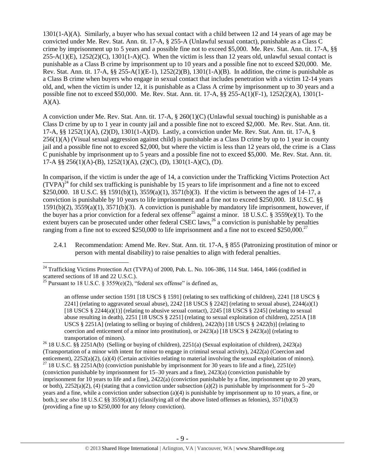1301(1-A)(A). Similarly, a buyer who has sexual contact with a child between 12 and 14 years of age may be convicted under Me. Rev. Stat. Ann. tit. 17-A, § 255-A (Unlawful sexual contact), punishable as a Class C crime by imprisonment up to 5 years and a possible fine not to exceed \$5,000. Me. Rev. Stat. Ann. tit. 17-A, §§  $255-A(1)$ (E),  $1252(2)$ (C),  $1301(1-A)$ (C). When the victim is less than 12 years old, unlawful sexual contact is punishable as a Class B crime by imprisonment up to 10 years and a possible fine not to exceed \$20,000. Me. Rev. Stat. Ann. tit. 17-A,  $\S$  $\S$  255-A(1)(E-1), 1252(2)(B), 1301(1-A)(B). In addition, the crime is punishable as a Class B crime when buyers who engage in sexual contact that includes penetration with a victim 12-14 years old, and, when the victim is under 12, it is punishable as a Class A crime by imprisonment up to 30 years and a possible fine not to exceed \$50,000. Me. Rev. Stat. Ann. tit. 17-A, §§ 255-A(1)(F-1), 1252(2)(A), 1301(1-  $A)(A)$ .

A conviction under Me. Rev. Stat. Ann. tit. 17-A, § 260(1)(C) (Unlawful sexual touching) is punishable as a Class D crime by up to 1 year in county jail and a possible fine not to exceed \$2,000. Me. Rev. Stat. Ann. tit. 17-A, §§ 1252(1)(A), (2)(D), 1301(1-A)(D). Lastly, a conviction under Me. Rev. Stat. Ann. tit. 17-A, § 256(1)(A) (Visual sexual aggression against child) is punishable as a Class D crime by up to 1 year in county jail and a possible fine not to exceed \$2,000, but where the victim is less than 12 years old, the crime is a Class C punishable by imprisonment up to 5 years and a possible fine not to exceed \$5,000. Me. Rev. Stat. Ann. tit. 17-A §§ 256(1)(A)-(B), 1252(1)(A), (2)(C), (D), 1301(1-A)(C), (D).

<span id="page-8-0"></span>In comparison, if the victim is under the age of 14, a conviction under the Trafficking Victims Protection Act  $(TVPA)<sup>24</sup>$  for child sex trafficking is punishable by 15 years to life imprisonment and a fine not to exceed \$250,000. 18 U.S.C. §§ 1591(b)(1), 3559(a)(1), 3571(b)(3). If the victim is between the ages of 14–17, a conviction is punishable by 10 years to life imprisonment and a fine not to exceed \$250,000. 18 U.S.C. §§ 1591(b)(2), 3559(a)(1), 3571(b)(3). A conviction is punishable by mandatory life imprisonment, however, if the buyer has a prior conviction for a federal sex offense<sup>25</sup> against a minor. 18 U.S.C. § 3559(e)(1). To the extent buyers can be prosecuted under other federal CSEC laws,<sup>26</sup> a conviction is punishable by penalties ranging from a fine not to exceed \$250,000 to life imprisonment and a fine not to exceed \$250,000.<sup>27</sup>

<span id="page-8-1"></span>2.4.1 Recommendation: Amend Me. Rev. Stat. Ann. tit. 17-A, § 855 (Patronizing prostitution of minor or person with mental disability) to raise penalties to align with federal penalties.

 $\overline{a}$ 

an offense under section 1591 [18 USCS § 1591] (relating to sex trafficking of children), 2241 [18 USCS § 2241] (relating to aggravated sexual abuse), 2242 [18 USCS  $\S$  2242] (relating to sexual abuse), 2244(a)(1) [18 USCS  $\S$  2244(a)(1)] (relating to abusive sexual contact), 2245 [18 USCS  $\S$  2245] (relating to sexual abuse resulting in death), 2251 [18 USCS § 2251] (relating to sexual exploitation of children), 2251A [18 USCS § 2251A] (relating to selling or buying of children),  $2422(b)$  [18 USCS § 2422(b)] (relating to coercion and enticement of a minor into prostitution), or  $2423(a)$  [18 USCS §  $2423(a)$ ] (relating to transportation of minors).

<sup>26</sup> 18 U.S.C. §§ 2251A(b) (Selling or buying of children), 2251(a) (Sexual exploitation of children), 2423(a) (Transportation of a minor with intent for minor to engage in criminal sexual activity), 2422(a) (Coercion and enticement), 2252(a)(2), (a)(4) (Certain activities relating to material involving the sexual exploitation of minors). <sup>27</sup> 18 U.S.C. §§ 2251A(b) (conviction punishable by imprisonment for 30 years to life and a fine), 2251(e) (conviction punishable by imprisonment for 15–30 years and a fine), 2423(a) (conviction punishable by imprisonment for 10 years to life and a fine), 2422(a) (conviction punishable by a fine, imprisonment up to 20 years, or both),  $2252(a)(2)$ , (4) (stating that a conviction under subsection (a)(2) is punishable by imprisonment for  $5-20$ years and a fine, while a conviction under subsection (a)(4) is punishable by imprisonment up to 10 years, a fine, or both.); *see also* 18 U.S.C §§ 3559(a)(1) (classifying all of the above listed offenses as felonies), 3571(b)(3) (providing a fine up to \$250,000 for any felony conviction).

 $^{24}$  Trafficking Victims Protection Act (TVPA) of 2000, Pub. L. No. 106-386, 114 Stat. 1464, 1466 (codified in scattered sections of 18 and 22 U.S.C.).

<sup>&</sup>lt;sup>25</sup> Pursuant to 18 U.S.C. § 3559(e)(2), "federal sex offense" is defined as,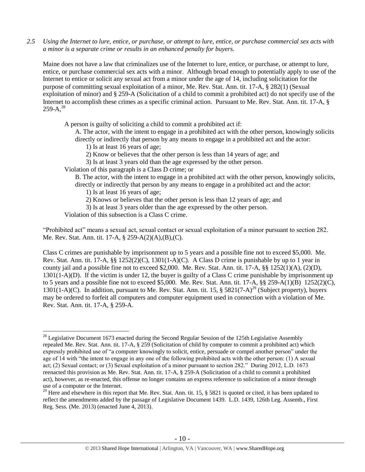*2.5 Using the Internet to lure, entice, or purchase, or attempt to lure, entice, or purchase commercial sex acts with a minor is a separate crime or results in an enhanced penalty for buyers.*

Maine does not have a law that criminalizes use of the Internet to lure, entice, or purchase, or attempt to lure, entice, or purchase commercial sex acts with a minor. Although broad enough to potentially apply to use of the Internet to entice or solicit any sexual act from a minor under the age of 14, including solicitation for the purpose of committing sexual exploitation of a minor, Me. Rev. Stat. Ann. tit. 17-A, § 282(1) (Sexual exploitation of minor) and § 259-A (Solicitation of a child to commit a prohibited act) do not specify use of the Internet to accomplish these crimes as a specific criminal action. Pursuant to Me. Rev. Stat. Ann. tit. 17-A, §  $259-A.<sup>28</sup>$ 

<span id="page-9-0"></span>A person is guilty of soliciting a child to commit a prohibited act if:

A. The actor, with the intent to engage in a prohibited act with the other person, knowingly solicits directly or indirectly that person by any means to engage in a prohibited act and the actor:

1) Is at least 16 years of age;

2) Know or believes that the other person is less than 14 years of age; and

3) Is at least 3 years old than the age expressed by the other person.

Violation of this paragraph is a Class D crime; or

B. The actor, with the intent to engage in a prohibited act with the other person, knowingly solicits, directly or indirectly that person by any means to engage in a prohibited act and the actor:

1) Is at least 16 years of age;

<span id="page-9-1"></span>2) Knows or believes that the other person is less than 12 years of age; and

3) Is at least 3 years older than the age expressed by the other person.

Violation of this subsection is a Class C crime.

 $\overline{a}$ 

"Prohibited act" means a sexual act, sexual contact or sexual exploitation of a minor pursuant to section 282. Me. Rev. Stat. Ann. tit. 17-A, § 259-A(2)(A),(B),(C).

Class C crimes are punishable by imprisonment up to 5 years and a possible fine not to exceed \$5,000. Me. Rev. Stat. Ann. tit. 17-A,  $\S$ § 1252(2)(C), 1301(1-A)(C). A Class D crime is punishable by up to 1 year in county jail and a possible fine not to exceed \$2,000. Me. Rev. Stat. Ann. tit. 17-A, §§ 1252(1)(A), (2)(D), 1301(1-A)(D). If the victim is under 12, the buyer is guilty of a Class C crime punishable by imprisonment up to 5 years and a possible fine not to exceed \$5,000. Me. Rev. Stat. Ann. tit.  $17-A$ ,  $\S$  $\S$   $259-A(1)(B)$   $1252(2)(C)$ , 1301(1-A)(C). In addition, pursuant to Me. Rev. Stat. Ann. tit. 15,  $\S 5821(7-A)^{29}$  (Subject property), buyers may be ordered to forfeit all computers and computer equipment used in connection with a violation of Me. Rev. Stat. Ann. tit. 17-A, § 259-A.

 $^{28}$  Legislative Document 1673 enacted during the Second Regular Session of the 125th Legislative Assembly repealed Me. Rev. Stat. Ann. tit. 17-A, § 259 (Solicitation of child by computer to commit a prohibited act) which expressly prohibited use of "a computer knowingly to solicit, entice, persuade or compel another person" under the age of 14 with "the intent to engage in any one of the following prohibited acts with the other person: (1) A sexual act; (2) Sexual contact; or (3) Sexual exploitation of a minor pursuant to section 282." During 2012, L.D. 1673 reenacted this provision as Me. Rev. Stat. Ann. tit. 17-A, § 259-A (Solicitation of a child to commit a prohibited act), however, as re-enacted, this offense no longer contains an express reference to solicitation of a minor through use of a computer or the Internet.

 $29$  Here and elsewhere in this report that Me. Rev. Stat. Ann. tit. 15, § 5821 is quoted or cited, it has been updated to reflect the amendments added by the passage of Legislative Document 1439. L.D. 1439, 126th Leg. Assemb., First Reg. Sess. (Me. 2013) (enacted June 4, 2013).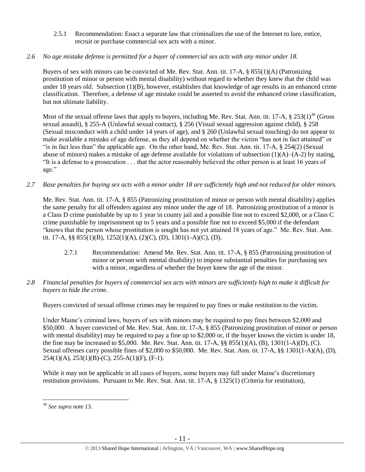2.5.1 Recommendation: Enact a separate law that criminalizes the use of the Internet to lure, entice, recruit or purchase commercial sex acts with a minor.

# *2.6 No age mistake defense is permitted for a buyer of commercial sex acts with any minor under 18.*

Buyers of sex with minors can be convicted of Me. Rev. Stat. Ann. tit. 17-A, § 855(1)(A) (Patronizing prostitution of minor or person with mental disability) without regard to whether they knew that the child was under 18 years old. Subsection (1)(B), however, establishes that knowledge of age results in an enhanced crime classification. Therefore, a defense of age mistake could be asserted to avoid the enhanced crime classification, but not ultimate liability.

Most of the sexual offense laws that apply to buyers, including Me. Rev. Stat. Ann. tit. 17-A,  $\S 253(1)^{30}$  (Gross sexual assault), § 255-A (Unlawful sexual contact), § 256 (Visual sexual aggression against child), § 258 (Sexual misconduct with a child under 14 years of age), and § 260 (Unlawful sexual touching) do not appear to make available a mistake of age defense, as they all depend on whether the victim "has not in fact attained" or "is in fact less than" the applicable age. On the other hand, Me. Rev. Stat. Ann. tit. 17-A, § 254(2) (Sexual abuse of minors) makes a mistake of age defense available for violations of subsection (1)(A)–(A-2) by stating, "It is a defense to a prosecution . . . that the actor reasonably believed the other person is at least 16 years of age."

*2.7 Base penalties for buying sex acts with a minor under 18 are sufficiently high and not reduced for older minors.*

Me. Rev. Stat. Ann. tit. 17-A, § 855 (Patronizing prostitution of minor or person with mental disability) applies the same penalty for all offenders against any minor under the age of 18. Patronizing prostitution of a minor is a Class D crime punishable by up to 1 year in county jail and a possible fine not to exceed \$2,000, or a Class C crime punishable by imprisonment up to 5 years and a possible fine not to exceed \$5,000 if the defendant "knows that the person whose prostitution is sought has not yet attained 18 years of age." Me. Rev. Stat. Ann. tit. 17-A, §§ 855(1)(B), 1252(1)(A), (2)(C), (D), 1301(1-A)(C), (D).

- 2.7.1 Recommendation: Amend Me. Rev. Stat. Ann. tit. 17-A, § 855 (Patronizing prostitution of minor or person with mental disability) to impose substantial penalties for purchasing sex with a minor, regardless of whether the buyer knew the age of the minor.
- *2.8 Financial penalties for buyers of commercial sex acts with minors are sufficiently high to make it difficult for buyers to hide the crime.*

Buyers convicted of sexual offense crimes may be required to pay fines or make restitution to the victim.

Under Maine's criminal laws, buyers of sex with minors may be required to pay fines between \$2,000 and \$50,000. A buyer convicted of Me. Rev. Stat. Ann. tit. 17-A, § 855 (Patronizing prostitution of minor or person with mental disability) may be required to pay a fine up to \$2,000 or, if the buyer knows the victim is under 18, the fine may be increased to \$5,000. Me. Rev. Stat. Ann. tit. 17-A, §§ 855(1)(A), (B), 1301(1-A)(D), (C). Sexual offenses carry possible fines of \$2,000 to \$50,000. Me. Rev. Stat. Ann. tit. 17-A, §§ 1301(1-A)(A), (D), 254(1)(A), 253(1)(B)-(C), 255-A(1)(F), (F-1).

While it may not be applicable in all cases of buyers, some buyers may fall under Maine's discretionary restitution provisions. Pursuant to Me. Rev. Stat. Ann. tit. 17-A, § 1325(1) (Criteria for restitution),

<sup>30</sup> *See supra* note [13.](#page-4-0)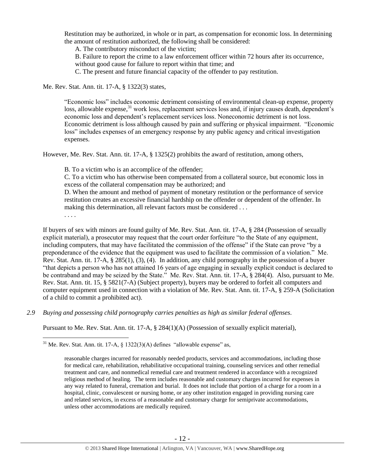Restitution may be authorized, in whole or in part, as compensation for economic loss. In determining the amount of restitution authorized, the following shall be considered:

A. The contributory misconduct of the victim;

B. Failure to report the crime to a law enforcement officer within 72 hours after its occurrence, without good cause for failure to report within that time; and

C. The present and future financial capacity of the offender to pay restitution.

Me. Rev. Stat. Ann. tit. 17-A, § 1322(3) states,

"Economic loss" includes economic detriment consisting of environmental clean-up expense, property loss, allowable expense,<sup>31</sup> work loss, replacement services loss and, if injury causes death, dependent's economic loss and dependent's replacement services loss. Noneconomic detriment is not loss. Economic detriment is loss although caused by pain and suffering or physical impairment. "Economic loss" includes expenses of an emergency response by any public agency and critical investigation expenses.

However, Me. Rev. Stat. Ann. tit. 17-A, § 1325(2) prohibits the award of restitution, among others,

B. To a victim who is an accomplice of the offender;

C. To a victim who has otherwise been compensated from a collateral source, but economic loss in excess of the collateral compensation may be authorized; and

D. When the amount and method of payment of monetary restitution or the performance of service restitution creates an excessive financial hardship on the offender or dependent of the offender. In making this determination, all relevant factors must be considered . . .

. . . .

 $\overline{a}$ 

If buyers of sex with minors are found guilty of Me. Rev. Stat. Ann. tit. 17-A, § 284 (Possession of sexually explicit material), a prosecutor may request that the court order forfeiture "to the State of any equipment, including computers, that may have facilitated the commission of the offense" if the State can prove "by a preponderance of the evidence that the equipment was used to facilitate the commission of a violation." Me. Rev. Stat. Ann. tit. 17-A, § 285(1), (3), (4). In addition, any child pornography in the possession of a buyer "that depicts a person who has not attained 16 years of age engaging in sexually explicit conduct is declared to be contraband and may be seized by the State." Me. Rev. Stat. Ann. tit. 17-A, § 284(4). Also, pursuant to Me. Rev. Stat. Ann. tit. 15, § 5821(7-A) (Subject property), buyers may be ordered to forfeit all computers and computer equipment used in connection with a violation of Me. Rev. Stat. Ann. tit. 17-A, § 259-A (Solicitation of a child to commit a prohibited act).

*2.9 Buying and possessing child pornography carries penalties as high as similar federal offenses.*

Pursuant to Me. Rev. Stat. Ann. tit. 17-A, § 284(1)(A) (Possession of sexually explicit material),

<sup>31</sup> Me. Rev. Stat. Ann. tit. 17-A, § 1322(3)(A) defines "allowable expense" as,

reasonable charges incurred for reasonably needed products, services and accommodations, including those for medical care, rehabilitation, rehabilitative occupational training, counseling services and other remedial treatment and care, and nonmedical remedial care and treatment rendered in accordance with a recognized religious method of healing. The term includes reasonable and customary charges incurred for expenses in any way related to funeral, cremation and burial. It does not include that portion of a charge for a room in a hospital, clinic, convalescent or nursing home, or any other institution engaged in providing nursing care and related services, in excess of a reasonable and customary charge for semiprivate accommodations, unless other accommodations are medically required.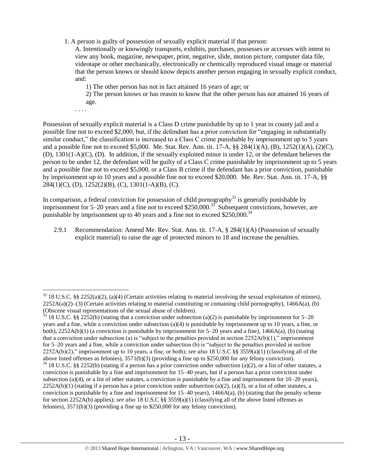1. A person is guilty of possession of sexually explicit material if that person:

A. Intentionally or knowingly transports, exhibits, purchases, possesses or accesses with intent to view any book, magazine, newspaper, print, negative, slide, motion picture, computer data file, videotape or other mechanically, electronically or chemically reproduced visual image or material that the person knows or should know depicts another person engaging in sexually explicit conduct, and:

1) The other person has not in fact attained 16 years of age; or

2) The person knows or has reason to know that the other person has not attained 16 years of age.

. . . .

 $\overline{a}$ 

Possession of sexually explicit material is a Class D crime punishable by up to 1 year in county jail and a possible fine not to exceed \$2,000, but, if the defendant has a prior conviction for "engaging in substantially similar conduct," the classification is increased to a Class C crime punishable by imprisonment up to 5 years and a possible fine not to exceed \$5,000. Me. Stat. Rev. Ann. tit. 17-A, §§ 284(1)(A), (B), 1252(1)(A), (2)(C), (D), 1301(1-A)(C), (D). In addition, if the sexually exploited minor is under 12, or the defendant believes the person to be under 12, the defendant will be guilty of a Class C crime punishable by imprisonment up to 5 years and a possible fine not to exceed \$5,000, or a Class B crime if the defendant has a prior conviction, punishable by imprisonment up to 10 years and a possible fine not to exceed \$20,000. Me. Rev. Stat. Ann. tit. 17-A, §§  $284(1)(C)$ , (D),  $1252(2)(B)$ , (C),  $1301(1-A)(B)$ , (C).

In comparison, a federal conviction for possession of child pornography $^{32}$  is generally punishable by imprisonment for 5–20 years and a fine not to exceed \$250,000.<sup>33</sup> Subsequent convictions, however, are punishable by imprisonment up to 40 years and a fine not to exceed  $$250,000.<sup>34</sup>$ 

2.9.1 Recommendation: Amend Me. Rev. Stat. Ann. tit. 17-A, § 284(1)(A) (Possession of sexually explicit material) to raise the age of protected minors to 18 and increase the penalties.

 $32$  18 U.S.C. §§ 2252(a)(2), (a)(4) (Certain activities relating to material involving the sexual exploitation of minors),  $2252A(a)(2)$ –(3) (Certain activities relating to material constituting or containing child pornography), 1466A(a), (b) (Obscene visual representations of the sexual abuse of children).

 $33$  18 U.S.C. §§ 2252(b) (stating that a conviction under subsection (a)(2) is punishable by imprisonment for 5–20 years and a fine, while a conviction under subsection (a)(4) is punishable by imprisonment up to 10 years, a fine, or both), 2252A(b)(1) (a conviction is punishable by imprisonment for 5–20 years and a fine), 1466A(a), (b) (stating that a conviction under subsection (a) is "subject to the penalties provided in section  $2252A(b)(1)$ ," imprisonment for 5–20 years and a fine, while a conviction under subsection (b) is "subject to the penalties provided in section 2252A(b)(2)," imprisonment up to 10 years, a fine, or both); *see also* 18 U.S.C §§ 3559(a)(1) (classifying all of the above listed offenses as felonies), 3571(b)(3) (providing a fine up to \$250,000 for any felony conviction).  $34$  18 U.S.C. §§ 2252(b) (stating if a person has a prior conviction under subsection (a)(2), or a list of other statutes, a conviction is punishable by a fine and imprisonment for 15–40 years, but if a person has a prior conviction under subsection (a)(4), or a list of other statutes, a conviction is punishable by a fine and imprisonment for  $10-20$  years),  $2252A(b)(1)$  (stating if a person has a prior conviction under subsection (a)(2), (a)(3), or a list of other statutes, a conviction is punishable by a fine and imprisonment for  $15-40$  years),  $1466A(a)$ , (b) (stating that the penalty scheme for section 2252A(b) applies); *see also* 18 U.S.C §§ 3559(a)(1) (classifying all of the above listed offenses as felonies), 3571(b)(3) (providing a fine up to \$250,000 for any felony conviction).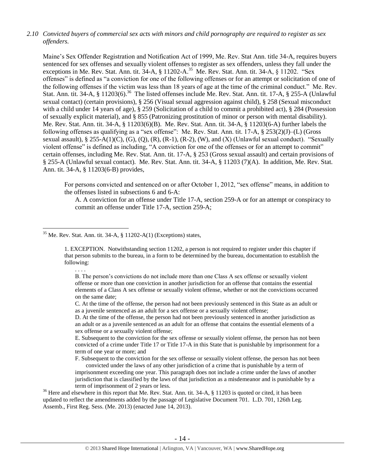# *2.10 Convicted buyers of commercial sex acts with minors and child pornography are required to register as sex offenders.*

<span id="page-13-1"></span><span id="page-13-0"></span>Maine's Sex Offender Registration and Notification Act of 1999, Me. Rev. Stat Ann. title 34-A, requires buyers sentenced for sex offenses and sexually violent offenses to register as sex offenders, unless they fall under the exceptions in Me. Rev. Stat. Ann. tit. 34-A, § 11202-A.<sup>35</sup> Me. Rev. Stat. Ann. tit. 34-A, § 11202. "Sex offenses" is defined as "a conviction for one of the following offenses or for an attempt or solicitation of one of the following offenses if the victim was less than 18 years of age at the time of the criminal conduct." Me. Rev. Stat. Ann. tit. 34-A, § 11203(6).<sup>36</sup> The listed offenses include Me. Rev. Stat. Ann. tit. 17-A, § 255-A (Unlawful sexual contact) (certain provisions), § 256 (Visual sexual aggression against child), § 258 (Sexual misconduct with a child under 14 years of age), § 259 (Solicitation of a child to commit a prohibited act), § 284 (Possession of sexually explicit material), and § 855 (Patronizing prostitution of minor or person with mental disability). Me. Rev. Stat. Ann. tit. 34-A, § 11203(6)(B). Me. Rev. Stat. Ann. tit. 34-A, § 11203(6-A) further labels the following offenses as qualifying as a "sex offense": Me. Rev. Stat. Ann. tit. 17-A, § 253(2)(J)–(L) (Gross sexual assault), § 255-A(1)(C), (G), (Q), (R), (R-1), (R-2), (W), and (X) (Unlawful sexual conduct). "Sexually violent offense" is defined as including, "A conviction for one of the offenses or for an attempt to commit" certain offenses, including Me. Rev. Stat. Ann. tit. 17-A, § 253 (Gross sexual assault) and certain provisions of § 255-A (Unlawful sexual contact). Me. Rev. Stat. Ann. tit. 34-A, § 11203 (7)(A). In addition, Me. Rev. Stat. Ann. tit. 34-A, § 11203(6-B) provides,

For persons convicted and sentenced on or after October 1, 2012, "sex offense" means, in addition to the offenses listed in subsections 6 and 6-A:

A. A conviction for an offense under Title 17-A, section 259-A or for an attempt or conspiracy to commit an offense under Title 17-A, section 259-A;

 $35$  Me. Rev. Stat. Ann. tit. 34-A,  $\S$  11202-A(1) (Exceptions) states,

 $\overline{a}$ 

1. EXCEPTION. Notwithstanding section 11202, a person is not required to register under this chapter if that person submits to the bureau, in a form to be determined by the bureau, documentation to establish the following:

B. The person's convictions do not include more than one Class A sex offense or sexually violent offense or more than one conviction in another jurisdiction for an offense that contains the essential elements of a Class A sex offense or sexually violent offense, whether or not the convictions occurred on the same date;

C. At the time of the offense, the person had not been previously sentenced in this State as an adult or as a juvenile sentenced as an adult for a sex offense or a sexually violent offense;

D. At the time of the offense, the person had not been previously sentenced in another jurisdiction as an adult or as a juvenile sentenced as an adult for an offense that contains the essential elements of a sex offense or a sexually violent offense;

E. Subsequent to the conviction for the sex offense or sexually violent offense, the person has not been convicted of a crime under Title 17 or Title 17-A in this State that is punishable by imprisonment for a term of one year or more; and

F. Subsequent to the conviction for the sex offense or sexually violent offense, the person has not been convicted under the laws of any other jurisdiction of a crime that is punishable by a term of imprisonment exceeding one year. This paragraph does not include a crime under the laws of another jurisdiction that is classified by the laws of that jurisdiction as a misdemeanor and is punishable by a term of imprisonment of 2 years or less.

<sup>36</sup> Here and elsewhere in this report that Me. Rev. Stat. Ann. tit. 34-A,  $\S$  11203 is quoted or cited, it has been updated to reflect the amendments added by the passage of Legislative Document 701. L.D. 701, 126th Leg. Assemb., First Reg. Sess. (Me. 2013) (enacted June 14, 2013).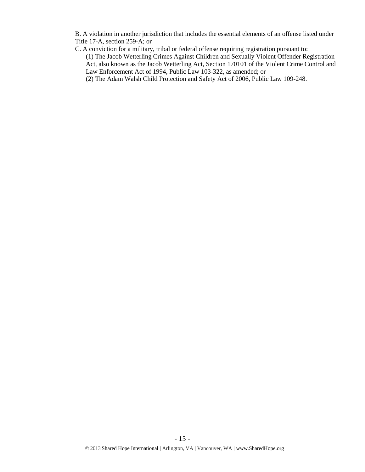B. A violation in another jurisdiction that includes the essential elements of an offense listed under Title 17-A, section 259-A; or

C. A conviction for a military, tribal or federal offense requiring registration pursuant to:

(1) The Jacob Wetterling Crimes Against Children and Sexually Violent Offender Registration Act, also known as the Jacob Wetterling Act, Section 170101 of the Violent Crime Control and Law Enforcement Act of 1994, Public Law 103-322, as amended; or

(2) The Adam Walsh Child Protection and Safety Act of 2006, Public Law 109-248.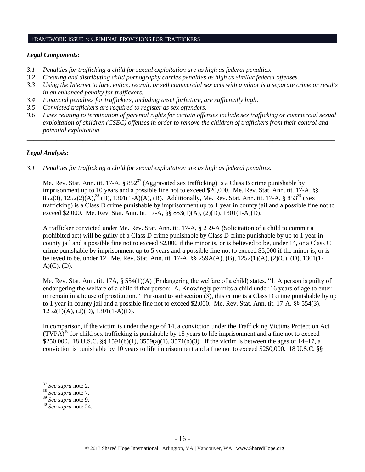#### FRAMEWORK ISSUE 3: CRIMINAL PROVISIONS FOR TRAFFICKERS

#### *Legal Components:*

- *3.1 Penalties for trafficking a child for sexual exploitation are as high as federal penalties.*
- *3.2 Creating and distributing child pornography carries penalties as high as similar federal offenses.*
- *3.3 Using the Internet to lure, entice, recruit, or sell commercial sex acts with a minor is a separate crime or results in an enhanced penalty for traffickers.*
- *3.4 Financial penalties for traffickers, including asset forfeiture, are sufficiently high*.
- *3.5 Convicted traffickers are required to register as sex offenders.*
- *3.6 Laws relating to termination of parental rights for certain offenses include sex trafficking or commercial sexual exploitation of children (CSEC) offenses in order to remove the children of traffickers from their control and potential exploitation.*

*\_\_\_\_\_\_\_\_\_\_\_\_\_\_\_\_\_\_\_\_\_\_\_\_\_\_\_\_\_\_\_\_\_\_\_\_\_\_\_\_\_\_\_\_\_\_\_\_\_\_\_\_\_\_\_\_\_\_\_\_\_\_\_\_\_\_\_\_\_\_\_\_\_\_\_\_\_\_\_\_\_\_\_\_\_\_\_\_\_\_\_\_\_\_*

## *Legal Analysis:*

*3.1 Penalties for trafficking a child for sexual exploitation are as high as federal penalties.* 

Me. Rev. Stat. Ann. tit. 17-A,  $\S 852^{37}$  (Aggravated sex trafficking) is a Class B crime punishable by imprisonment up to 10 years and a possible fine not to exceed \$20,000. Me. Rev. Stat. Ann. tit. 17-A, §§  $852(3)$ ,  $1252(2)$  $(A)$ ,  $^{38}$  $(B)$ ,  $1301(1-A)(A)$ ,  $(B)$ . Additionally, Me. Rev. Stat. Ann. tit. 17-A,  $\S 853^{39}$  (Sex trafficking) is a Class D crime punishable by imprisonment up to 1 year in county jail and a possible fine not to exceed \$2,000. Me. Rev. Stat. Ann. tit. 17-A, §§ 853(1)(A), (2)(D), 1301(1-A)(D).

A trafficker convicted under Me. Rev. Stat. Ann. tit. 17-A, § 259-A (Solicitation of a child to commit a prohibited act) will be guilty of a Class D crime punishable by Class D crime punishable by up to 1 year in county jail and a possible fine not to exceed \$2,000 if the minor is, or is believed to be, under 14, or a Class C crime punishable by imprisonment up to 5 years and a possible fine not to exceed \$5,000 if the minor is, or is believed to be, under 12. Me. Rev. Stat. Ann. tit. 17-A, §§ 259A(A), (B), 1252(1)(A), (2)(C), (D), 1301(1-  $A)(C)$ ,  $(D)$ .

Me. Rev. Stat. Ann. tit. 17A, § 554(1)(A) (Endangering the welfare of a child) states, "1. A person is guilty of endangering the welfare of a child if that person: A. Knowingly permits a child under 16 years of age to enter or remain in a house of prostitution." Pursuant to subsection (3), this crime is a Class D crime punishable by up to 1 year in county jail and a possible fine not to exceed \$2,000. Me. Rev. Stat. Ann. tit. 17-A, §§ 554(3), 1252(1)(A), (2)(D), 1301(1-A)(D).

In comparison, if the victim is under the age of 14, a conviction under the Trafficking Victims Protection Act  $(TVPA)<sup>40</sup>$  for child sex trafficking is punishable by 15 years to life imprisonment and a fine not to exceed \$250,000. 18 U.S.C. §§ 1591(b)(1), 3559(a)(1), 3571(b)(3). If the victim is between the ages of 14–17, a conviction is punishable by 10 years to life imprisonment and a fine not to exceed \$250,000. 18 U.S.C. §§

<sup>37</sup> *See supra* note [2.](#page-0-0)

<sup>38</sup> *See supra* note 7.

<sup>39</sup> *See supra* note [9.](#page-2-2)

<sup>40</sup> *See supra* note [24.](#page-8-0)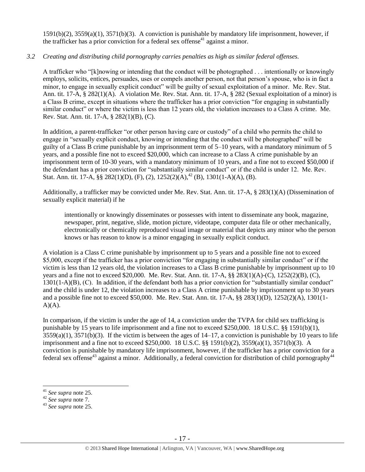1591(b)(2), 3559(a)(1), 3571(b)(3). A conviction is punishable by mandatory life imprisonment, however, if the trafficker has a prior conviction for a federal sex offense<sup>41</sup> against a minor.

# *3.2 Creating and distributing child pornography carries penalties as high as similar federal offenses.*

A trafficker who "[k]nowing or intending that the conduct will be photographed . . . intentionally or knowingly employs, solicits, entices, persuades, uses or compels another person, not that person's spouse, who is in fact a minor, to engage in sexually explicit conduct" will be guilty of sexual exploitation of a minor. Me. Rev. Stat. Ann. tit. 17-A, § 282(1)(A). A violation Me. Rev. Stat. Ann. tit. 17-A, § 282 (Sexual exploitation of a minor) is a Class B crime, except in situations where the trafficker has a prior conviction "for engaging in substantially similar conduct" or where the victim is less than 12 years old, the violation increases to a Class A crime. Me. Rev. Stat. Ann. tit. 17-A, § 282(1)(B), (C).

In addition, a parent-trafficker "or other person having care or custody" of a child who permits the child to engage in "sexually explicit conduct, knowing or intending that the conduct will be photographed" will be guilty of a Class B crime punishable by an imprisonment term of 5–10 years, with a mandatory minimum of 5 years, and a possible fine not to exceed \$20,000, which can increase to a Class A crime punishable by an imprisonment term of 10-30 years, with a mandatory minimum of 10 years, and a fine not to exceed \$50,000 if the defendant has a prior conviction for "substantially similar conduct" or if the child is under 12. Me. Rev. Stat. Ann. tit. 17-A,  $\S\S 282(1)(D)$ , (F), (2),  $1252(2)(A)$ ,  $42(B)$ ,  $1301(1-A)(A)$ , (B).

Additionally, a trafficker may be convicted under Me. Rev. Stat. Ann. tit. 17-A, § 283(1)(A) (Dissemination of sexually explicit material) if he

intentionally or knowingly disseminates or possesses with intent to disseminate any book, magazine, newspaper, print, negative, slide, motion picture, videotape, computer data file or other mechanically, electronically or chemically reproduced visual image or material that depicts any minor who the person knows or has reason to know is a minor engaging in sexually explicit conduct.

A violation is a Class C crime punishable by imprisonment up to 5 years and a possible fine not to exceed \$5,000, except if the trafficker has a prior conviction "for engaging in substantially similar conduct" or if the victim is less than 12 years old, the violation increases to a Class B crime punishable by imprisonment up to 10 years and a fine not to exceed \$20,000. Me. Rev. Stat. Ann. tit. 17-A, §§ 283(1)(A)-(C), 1252(2)(B), (C), 1301(1-A)(B), (C). In addition, if the defendant both has a prior conviction for "substantially similar conduct" and the child is under 12, the violation increases to a Class A crime punishable by imprisonment up to 30 years and a possible fine not to exceed \$50,000. Me. Rev. Stat. Ann. tit. 17-A, §§ 283(1)(D), 1252(2)(A), 1301(1-  $A)(A)$ .

In comparison, if the victim is under the age of 14, a conviction under the TVPA for child sex trafficking is punishable by 15 years to life imprisonment and a fine not to exceed \$250,000. 18 U.S.C. §§ 1591(b)(1),  $3559(a)(1)$ ,  $3571(b)(3)$ . If the victim is between the ages of  $14-17$ , a conviction is punishable by 10 years to life imprisonment and a fine not to exceed \$250,000. 18 U.S.C. §§ 1591(b)(2), 3559(a)(1), 3571(b)(3). A conviction is punishable by mandatory life imprisonment, however, if the trafficker has a prior conviction for a federal sex offense<sup>43</sup> against a minor. Additionally, a federal conviction for distribution of child pornography<sup>44</sup>

<sup>41</sup> *See supra* note [25.](#page-8-1)

<sup>42</sup> *See supra* note 7.

<sup>43</sup> *See supra* note [25.](#page-8-1)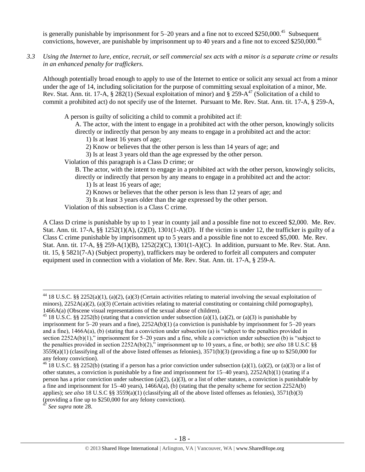is generally punishable by imprisonment for  $5-20$  years and a fine not to exceed \$250,000.<sup>45</sup> Subsequent convictions, however, are punishable by imprisonment up to 40 years and a fine not to exceed \$250,000.<sup>46</sup>

*3.3 Using the Internet to lure, entice, recruit, or sell commercial sex acts with a minor is a separate crime or results in an enhanced penalty for traffickers.*

Although potentially broad enough to apply to use of the Internet to entice or solicit any sexual act from a minor under the age of 14, including solicitation for the purpose of committing sexual exploitation of a minor, Me. Rev. Stat. Ann. tit. 17-A,  $\S 282(1)$  (Sexual exploitation of minor) and  $\S 259-A^{47}$  (Solicitation of a child to commit a prohibited act) do not specify use of the Internet. Pursuant to Me. Rev. Stat. Ann. tit. 17-A, § 259-A,

A person is guilty of soliciting a child to commit a prohibited act if:

A. The actor, with the intent to engage in a prohibited act with the other person, knowingly solicits directly or indirectly that person by any means to engage in a prohibited act and the actor:

- 1) Is at least 16 years of age;
- 2) Know or believes that the other person is less than 14 years of age; and
- 3) Is at least 3 years old than the age expressed by the other person.

Violation of this paragraph is a Class D crime; or

B. The actor, with the intent to engage in a prohibited act with the other person, knowingly solicits, directly or indirectly that person by any means to engage in a prohibited act and the actor:

1) Is at least 16 years of age;

2) Knows or believes that the other person is less than 12 years of age; and

3) Is at least 3 years older than the age expressed by the other person.

Violation of this subsection is a Class C crime.

A Class D crime is punishable by up to 1 year in county jail and a possible fine not to exceed \$2,000. Me. Rev. Stat. Ann. tit. 17-A,  $\S$ § 1252(1)(A), (2)(D), 1301(1-A)(D). If the victim is under 12, the trafficker is guilty of a Class C crime punishable by imprisonment up to 5 years and a possible fine not to exceed \$5,000. Me. Rev. Stat. Ann. tit. 17-A, §§ 259-A(1)(B), 1252(2)(C), 1301(1-A)(C). In addition, pursuant to Me. Rev. Stat. Ann. tit. 15, § 5821(7-A) (Subject property), traffickers may be ordered to forfeit all computers and computer equipment used in connection with a violation of Me. Rev. Stat. Ann. tit. 17-A, § 259-A.

<sup>&</sup>lt;sup>44</sup> 18 U.S.C. §§ 2252(a)(1), (a)(2), (a)(3) (Certain activities relating to material involving the sexual exploitation of minors),  $2252A(a)(2)$ ,  $(a)(3)$  (Certain activities relating to material constituting or containing child pornography), 1466A(a) (Obscene visual representations of the sexual abuse of children).

<sup>&</sup>lt;sup>45</sup> 18 U.S.C. §§ 2252(b) (stating that a conviction under subsection (a)(1), (a)(2), or (a)(3) is punishable by imprisonment for 5–20 years and a fine), 2252A(b)(1) (a conviction is punishable by imprisonment for 5–20 years and a fine), 1466A(a), (b) (stating that a conviction under subsection (a) is "subject to the penalties provided in section 2252A(b)(1)," imprisonment for 5–20 years and a fine, while a conviction under subsection (b) is "subject to the penalties provided in section 2252A(b)(2)," imprisonment up to 10 years, a fine, or both); *see also* 18 U.S.C §§  $3559(a)(1)$  (classifying all of the above listed offenses as felonies),  $3571(b)(3)$  (providing a fine up to \$250,000 for any felony conviction).

<sup>&</sup>lt;sup>46</sup> 18 U.S.C. §§ 2252(b) (stating if a person has a prior conviction under subsection (a)(1), (a)(2), or (a)(3) or a list of other statutes, a conviction is punishable by a fine and imprisonment for 15–40 years), 2252A(b)(1) (stating if a person has a prior conviction under subsection (a)(2), (a)(3), or a list of other statutes, a conviction is punishable by a fine and imprisonment for 15–40 years), 1466A(a), (b) (stating that the penalty scheme for section 2252A(b) applies); *see also* 18 U.S.C §§ 3559(a)(1) (classifying all of the above listed offenses as felonies), 3571(b)(3) (providing a fine up to  $$250,000$  for any felony conviction).

<sup>47</sup> *See supra* note [28.](#page-9-0)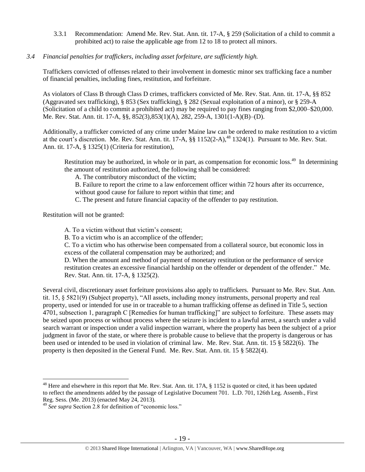3.3.1 Recommendation: Amend Me. Rev. Stat. Ann. tit. 17-A, § 259 (Solicitation of a child to commit a prohibited act) to raise the applicable age from 12 to 18 to protect all minors.

# *3.4 Financial penalties for traffickers, including asset forfeiture, are sufficiently high.*

Traffickers convicted of offenses related to their involvement in domestic minor sex trafficking face a number of financial penalties, including fines, restitution, and forfeiture.

As violators of Class B through Class D crimes, traffickers convicted of Me. Rev. Stat. Ann. tit. 17-A, §§ 852 (Aggravated sex trafficking), § 853 (Sex trafficking), § 282 (Sexual exploitation of a minor), or § 259-A (Solicitation of a child to commit a prohibited act) may be required to pay fines ranging from \$2,000–\$20,000. Me. Rev. Stat. Ann. tit. 17-A, §§, 852(3),853(1)(A), 282, 259-A, 1301(1-A)(B)–(D).

Additionally, a trafficker convicted of any crime under Maine law can be ordered to make restitution to a victim at the court's discretion. Me. Rev. Stat. Ann. tit. 17-A, §§ 1152(2-A),<sup>48</sup> 1324(1). Pursuant to Me. Rev. Stat. Ann. tit. 17-A, § 1325(1) (Criteria for restitution),

Restitution may be authorized, in whole or in part, as compensation for economic loss.<sup>49</sup> In determining the amount of restitution authorized, the following shall be considered:

A. The contributory misconduct of the victim;

B. Failure to report the crime to a law enforcement officer within 72 hours after its occurrence, without good cause for failure to report within that time; and

C. The present and future financial capacity of the offender to pay restitution.

Restitution will not be granted:

 $\overline{a}$ 

A. To a victim without that victim's consent;

B. To a victim who is an accomplice of the offender;

C. To a victim who has otherwise been compensated from a collateral source, but economic loss in excess of the collateral compensation may be authorized; and

D. When the amount and method of payment of monetary restitution or the performance of service restitution creates an excessive financial hardship on the offender or dependent of the offender." Me. Rev. Stat. Ann. tit. 17-A, § 1325(2).

Several civil, discretionary asset forfeiture provisions also apply to traffickers. Pursuant to Me. Rev. Stat. Ann. tit. 15, § 5821(9) (Subject property), "All assets, including money instruments, personal property and real property, used or intended for use in or traceable to a human trafficking offense as defined in Title 5, section 4701, subsection 1, paragraph C [Remedies for human trafficking]" are subject to forfeiture. These assets may be seized upon process or without process where the seizure is incident to a lawful arrest, a search under a valid search warrant or inspection under a valid inspection warrant, where the property has been the subject of a prior judgment in favor of the state, or where there is probable cause to believe that the property is dangerous or has been used or intended to be used in violation of criminal law. Me. Rev. Stat. Ann. tit. 15 § 5822(6). The property is then deposited in the General Fund. Me. Rev. Stat. Ann. tit. 15 § 5822(4).

<sup>&</sup>lt;sup>48</sup> Here and elsewhere in this report that Me. Rev. Stat. Ann. tit. 17A,  $\S$  1152 is quoted or cited, it has been updated to reflect the amendments added by the passage of Legislative Document 701. L.D. 701, 126th Leg. Assemb., First Reg. Sess. (Me. 2013) (enacted May 24, 2013).

<sup>49</sup> *See supra* Section 2.8 for definition of "economic loss."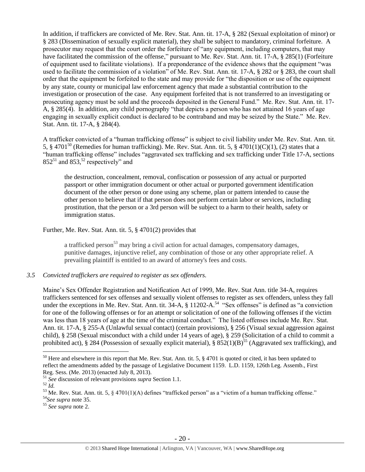In addition, if traffickers are convicted of Me. Rev. Stat. Ann. tit. 17-A, § 282 (Sexual exploitation of minor) or § 283 (Dissemination of sexually explicit material), they shall be subject to mandatory, criminal forfeiture. A prosecutor may request that the court order the forfeiture of "any equipment, including computers, that may have facilitated the commission of the offense," pursuant to Me. Rev. Stat. Ann. tit. 17-A,  $\S$  285(1) (Forfeiture of equipment used to facilitate violations). If a preponderance of the evidence shows that the equipment "was used to facilitate the commission of a violation" of Me. Rev. Stat. Ann. tit. 17-A, § 282 or § 283, the court shall order that the equipment be forfeited to the state and may provide for "the disposition or use of the equipment by any state, county or municipal law enforcement agency that made a substantial contribution to the investigation or prosecution of the case. Any equipment forfeited that is not transferred to an investigating or prosecuting agency must be sold and the proceeds deposited in the General Fund." Me. Rev. Stat. Ann. tit. 17- A, § 285(4). In addition, any child pornography "that depicts a person who has not attained 16 years of age engaging in sexually explicit conduct is declared to be contraband and may be seized by the State." Me. Rev. Stat. Ann. tit. 17-A, § 284(4).

<span id="page-19-0"></span>A trafficker convicted of a "human trafficking offense" is subject to civil liability under Me. Rev. Stat. Ann. tit. 5, § 4701<sup>50</sup> (Remedies for human trafficking). Me. Rev. Stat. Ann. tit. 5, § 4701(1)(C)(1), (2) states that a "human trafficking offense" includes "aggravated sex trafficking and sex trafficking under Title 17-A, sections  $852^{51}$  and  $853<sup>52</sup>$  respectively" and

the destruction, concealment, removal, confiscation or possession of any actual or purported passport or other immigration document or other actual or purported government identification document of the other person or done using any scheme, plan or pattern intended to cause the other person to believe that if that person does not perform certain labor or services, including prostitution, that the person or a 3rd person will be subject to a harm to their health, safety or immigration status.

Further, Me. Rev. Stat. Ann. tit. 5, § 4701(2) provides that

a trafficked person<sup>53</sup> may bring a civil action for actual damages, compensatory damages, punitive damages, injunctive relief, any combination of those or any other appropriate relief. A prevailing plaintiff is entitled to an award of attorney's fees and costs.

*3.5 Convicted traffickers are required to register as sex offenders.*

Maine's Sex Offender Registration and Notification Act of 1999, Me. Rev. Stat Ann. title 34-A, requires traffickers sentenced for sex offenses and sexually violent offenses to register as sex offenders, unless they fall under the exceptions in Me. Rev. Stat. Ann. tit.  $34-A$ ,  $\S$  11202-A.<sup>54</sup> "Sex offenses" is defined as "a conviction for one of the following offenses or for an attempt or solicitation of one of the following offenses if the victim was less than 18 years of age at the time of the criminal conduct." The listed offenses include Me. Rev. Stat. Ann. tit. 17-A, § 255-A (Unlawful sexual contact) (certain provisions), § 256 (Visual sexual aggression against child), § 258 (Sexual misconduct with a child under 14 years of age), § 259 (Solicitation of a child to commit a prohibited act), § 284 (Possession of sexually explicit material), §  $852(1)(B)^{55}$  (Aggravated sex trafficking), and

 $50$  Here and elsewhere in this report that Me. Rev. Stat. Ann. tit. 5,  $\S$  4701 is quoted or cited, it has been updated to reflect the amendments added by the passage of Legislative Document 1159. L.D. 1159, 126th Leg. Assemb., First Reg. Sess. (Me. 2013) (enacted July 8, 2013).

<sup>51</sup> *See* discussion of relevant provisions *supra* Section 1.1.

<sup>52</sup> *Id.*

 $53$  Me. Rev. Stat. Ann. tit. 5, § 4701(1)(A) defines "trafficked person" as a "victim of a human trafficking offense."

<sup>54</sup>*See supra* note [35.](#page-13-0)

<sup>55</sup> *See supra* note [2.](#page-0-0)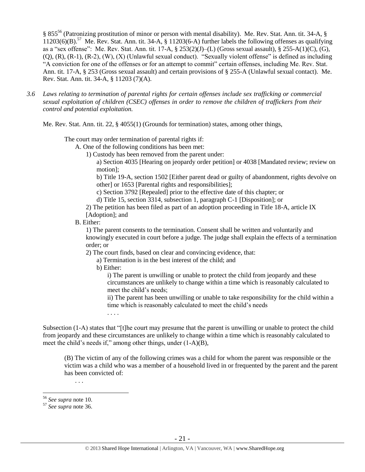§ 855<sup>56</sup> (Patronizing prostitution of minor or person with mental disability). Me. Rev. Stat. Ann. tit. 34-A, §  $11203(6)(B)$ .<sup>57</sup> Me. Rev. Stat. Ann. tit. 34-A, § 11203(6-A) further labels the following offenses as qualifying as a "sex offense": Me. Rev. Stat. Ann. tit. 17-A, § 253(2)(J)–(L) (Gross sexual assault), § 255-A(1)(C), (G), (Q), (R), (R-1), (R-2), (W), (X) (Unlawful sexual conduct). "Sexually violent offense" is defined as including "A conviction for one of the offenses or for an attempt to commit" certain offenses, including Me. Rev. Stat. Ann. tit. 17-A, § 253 (Gross sexual assault) and certain provisions of § 255-A (Unlawful sexual contact). Me. Rev. Stat. Ann. tit. 34-A, § 11203 (7)(A).

*3.6 Laws relating to termination of parental rights for certain offenses include sex trafficking or commercial sexual exploitation of children (CSEC) offenses in order to remove the children of traffickers from their control and potential exploitation.* 

Me. Rev. Stat. Ann. tit. 22, § 4055(1) (Grounds for termination) states, among other things,

The court may order termination of parental rights if:

A. One of the following conditions has been met:

1) Custody has been removed from the parent under:

a) Section 4035 [Hearing on jeopardy order petition] or 4038 [Mandated review; review on motion];

b) Title 19-A, section 1502 [Either parent dead or guilty of abandonment, rights devolve on other] or 1653 [Parental rights and responsibilities];

c) Section 3792 [Repealed] prior to the effective date of this chapter; or

d) Title 15, section 3314, subsection 1, paragraph C-1 [Disposition]; or

2) The petition has been filed as part of an adoption proceeding in Title 18-A, article IX [Adoption]; and

#### B. Either:

1) The parent consents to the termination. Consent shall be written and voluntarily and knowingly executed in court before a judge. The judge shall explain the effects of a termination order; or

2) The court finds, based on clear and convincing evidence, that:

a) Termination is in the best interest of the child; and

b) Either:

. . . .

i) The parent is unwilling or unable to protect the child from jeopardy and these circumstances are unlikely to change within a time which is reasonably calculated to meet the child's needs;

ii) The parent has been unwilling or unable to take responsibility for the child within a time which is reasonably calculated to meet the child's needs

Subsection (1-A) states that "[t]he court may presume that the parent is unwilling or unable to protect the child from jeopardy and these circumstances are unlikely to change within a time which is reasonably calculated to meet the child's needs if," among other things, under (1-A)(B),

(B) The victim of any of the following crimes was a child for whom the parent was responsible or the victim was a child who was a member of a household lived in or frequented by the parent and the parent has been convicted of:

 $\overline{a}$ 

. . .

<sup>56</sup> *See supra* note [10.](#page-2-0)

<sup>57</sup> *See supra* note [36.](#page-13-1)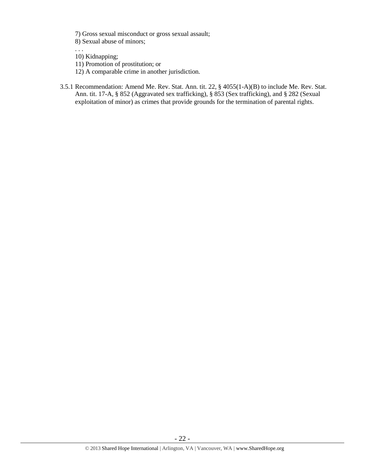7) Gross sexual misconduct or gross sexual assault;

8) Sexual abuse of minors;

. . . 10) Kidnapping;

- 11) Promotion of prostitution; or
- 12) A comparable crime in another jurisdiction.
- 3.5.1 Recommendation: Amend Me. Rev. Stat. Ann. tit. 22, § 4055(1-A)(B) to include Me. Rev. Stat. Ann. tit. 17-A, § 852 (Aggravated sex trafficking), § 853 (Sex trafficking), and § 282 (Sexual exploitation of minor) as crimes that provide grounds for the termination of parental rights.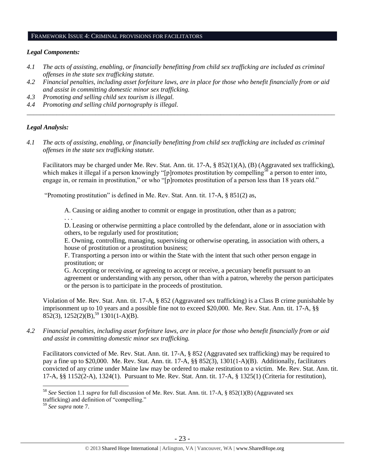#### FRAMEWORK ISSUE 4: CRIMINAL PROVISIONS FOR FACILITATORS

#### *Legal Components:*

- *4.1 The acts of assisting, enabling, or financially benefitting from child sex trafficking are included as criminal offenses in the state sex trafficking statute.*
- *4.2 Financial penalties, including asset forfeiture laws, are in place for those who benefit financially from or aid and assist in committing domestic minor sex trafficking.*

*\_\_\_\_\_\_\_\_\_\_\_\_\_\_\_\_\_\_\_\_\_\_\_\_\_\_\_\_\_\_\_\_\_\_\_\_\_\_\_\_\_\_\_\_\_\_\_\_\_\_\_\_\_\_\_\_\_\_\_\_\_\_\_\_\_\_\_\_\_\_\_\_\_\_\_\_\_\_\_\_\_\_\_\_\_\_\_\_\_\_\_\_\_\_*

- *4.3 Promoting and selling child sex tourism is illegal.*
- *4.4 Promoting and selling child pornography is illegal.*

## *Legal Analysis:*

*4.1 The acts of assisting, enabling, or financially benefitting from child sex trafficking are included as criminal offenses in the state sex trafficking statute.*

Facilitators may be charged under Me. Rev. Stat. Ann. tit. 17-A, § 852(1)(A), (B) (Aggravated sex trafficking), which makes it illegal if a person knowingly "[p]romotes prostitution by compelling<sup>58</sup> a person to enter into, engage in, or remain in prostitution," or who "[p]romotes prostitution of a person less than 18 years old."

"Promoting prostitution" is defined in Me. Rev. Stat. Ann. tit. 17-A, § 851(2) as,

A. Causing or aiding another to commit or engage in prostitution, other than as a patron;

. . .

D. Leasing or otherwise permitting a place controlled by the defendant, alone or in association with others, to be regularly used for prostitution;

E. Owning, controlling, managing, supervising or otherwise operating, in association with others, a house of prostitution or a prostitution business;

F. Transporting a person into or within the State with the intent that such other person engage in prostitution; or

G. Accepting or receiving, or agreeing to accept or receive, a pecuniary benefit pursuant to an agreement or understanding with any person, other than with a patron, whereby the person participates or the person is to participate in the proceeds of prostitution.

Violation of Me. Rev. Stat. Ann. tit. 17-A, § 852 (Aggravated sex trafficking) is a Class B crime punishable by imprisonment up to 10 years and a possible fine not to exceed \$20,000. Me. Rev. Stat. Ann. tit. 17-A, §§  $852(3)$ ,  $1252(2)(B)$ ,<sup>59</sup> 1301(1-A)(B).

*4.2 Financial penalties, including asset forfeiture laws, are in place for those who benefit financially from or aid and assist in committing domestic minor sex trafficking.*

Facilitators convicted of Me. Rev. Stat. Ann. tit. 17-A, § 852 (Aggravated sex trafficking) may be required to pay a fine up to \$20,000. Me. Rev. Stat. Ann. tit. 17-A, §§ 852(3), 1301(1-A)(B). Additionally, facilitators convicted of any crime under Maine law may be ordered to make restitution to a victim. Me. Rev. Stat. Ann. tit. 17-A, §§ 1152(2-A), 1324(1). Pursuant to Me. Rev. Stat. Ann. tit. 17-A, § 1325(1) (Criteria for restitution),

<sup>58</sup> *See* Section 1.1 *supra* for full discussion of Me. Rev. Stat. Ann. tit. 17-A, § 852(1)(B) (Aggravated sex trafficking) and definition of "compelling."

<sup>59</sup> *See supra* note 7.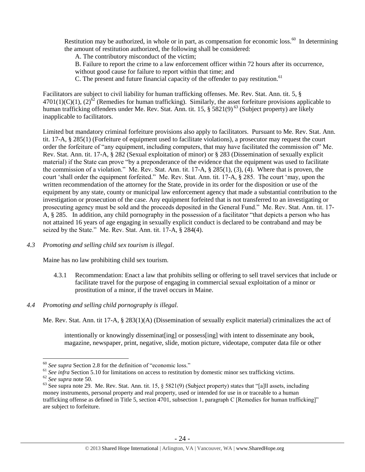Restitution may be authorized, in whole or in part, as compensation for economic loss.<sup>60</sup> In determining the amount of restitution authorized, the following shall be considered:

A. The contributory misconduct of the victim;

B. Failure to report the crime to a law enforcement officer within 72 hours after its occurrence,

without good cause for failure to report within that time; and

C. The present and future financial capacity of the offender to pay restitution.<sup>61</sup>

Facilitators are subject to civil liability for human trafficking offenses. Me. Rev. Stat. Ann. tit. 5, §  $4701(1)(C)(1)$ ,  $(2)^{62}$  (Remedies for human trafficking). Similarly, the asset forfeiture provisions applicable to human trafficking offenders under Me. Rev. Stat. Ann. tit. 15, § 5821(9)<sup>63</sup> (Subject property) are likely inapplicable to facilitators.

Limited but mandatory criminal forfeiture provisions also apply to facilitators. Pursuant to Me. Rev. Stat. Ann. tit. 17-A, § 285(1) (Forfeiture of equipment used to facilitate violations), a prosecutor may request the court order the forfeiture of "any equipment, including computers, that may have facilitated the commission of" Me. Rev. Stat. Ann. tit. 17-A, § 282 (Sexual exploitation of minor) or § 283 (Dissemination of sexually explicit material) if the State can prove "by a preponderance of the evidence that the equipment was used to facilitate the commission of a violation." Me. Rev. Stat. Ann. tit. 17-A, § 285(1), (3), (4). Where that is proven, the court 'shall order the equipment forfeited." Me. Rev. Stat. Ann. tit. 17-A, § 285. The court 'may, upon the written recommendation of the attorney for the State, provide in its order for the disposition or use of the equipment by any state, county or municipal law enforcement agency that made a substantial contribution to the investigation or prosecution of the case. Any equipment forfeited that is not transferred to an investigating or prosecuting agency must be sold and the proceeds deposited in the General Fund." Me. Rev. Stat. Ann. tit. 17- A, § 285. In addition, any child pornography in the possession of a facilitator "that depicts a person who has not attained 16 years of age engaging in sexually explicit conduct is declared to be contraband and may be seized by the State." Me. Rev. Stat. Ann. tit. 17-A, § 284(4).

## *4.3 Promoting and selling child sex tourism is illegal*.

Maine has no law prohibiting child sex tourism.

- 4.3.1 Recommendation: Enact a law that prohibits selling or offering to sell travel services that include or facilitate travel for the purpose of engaging in commercial sexual exploitation of a minor or prostitution of a minor, if the travel occurs in Maine.
- *4.4 Promoting and selling child pornography is illegal.*

Me. Rev. Stat. Ann. tit 17-A, § 283(1)(A) (Dissemination of sexually explicit material) criminalizes the act of

intentionally or knowingly disseminat [ing] or possess [ing] with intent to disseminate any book, magazine, newspaper, print, negative, slide, motion picture, videotape, computer data file or other

<sup>60</sup> *See supra* Section 2.8 for the definition of "economic loss."

<sup>&</sup>lt;sup>61</sup> *See infra* Section 5.10 for limitations on access to restitution by domestic minor sex trafficking victims.

<sup>62</sup> *See supra* note [50.](#page-19-0)

 $63$  See supra note [29.](#page-9-1) Me. Rev. Stat. Ann. tit. 15, § 5821(9) (Subject property) states that "[a]ll assets, including money instruments, personal property and real property, used or intended for use in or traceable to a human trafficking offense as defined in Title 5, section 4701, subsection 1, paragraph C [Remedies for human trafficking]" are subject to forfeiture.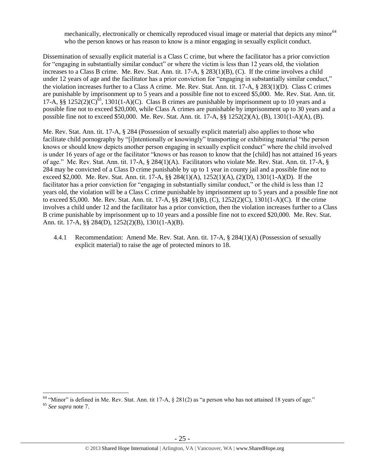mechanically, electronically or chemically reproduced visual image or material that depicts any minor<sup>64</sup> who the person knows or has reason to know is a minor engaging in sexually explicit conduct.

Dissemination of sexually explicit material is a Class C crime, but where the facilitator has a prior conviction for "engaging in substantially similar conduct" or where the victim is less than 12 years old, the violation increases to a Class B crime. Me. Rev. Stat. Ann. tit. 17-A, § 283(1)(B), (C). If the crime involves a child under 12 years of age and the facilitator has a prior conviction for "engaging in substantially similar conduct," the violation increases further to a Class A crime. Me. Rev. Stat. Ann. tit. 17-A, § 283(1)(D). Class C crimes are punishable by imprisonment up to 5 years and a possible fine not to exceed \$5,000. Me. Rev. Stat. Ann. tit. 17-A, §§ 1252(2)(C)<sup>65</sup>, 1301(1-A)(C). Class B crimes are punishable by imprisonment up to 10 years and a possible fine not to exceed \$20,000, while Class A crimes are punishable by imprisonment up to 30 years and a possible fine not to exceed \$50,000. Me. Rev. Stat. Ann. tit. 17-A, §§ 1252(2)(A), (B), 1301(1-A)(A), (B).

Me. Rev. Stat. Ann. tit. 17-A, § 284 (Possession of sexually explicit material) also applies to those who facilitate child pornography by "[i]ntentionally or knowingly" transporting or exhibiting material "the person knows or should know depicts another person engaging in sexually explicit conduct" where the child involved is under 16 years of age or the facilitator "knows or has reason to know that the [child] has not attained 16 years of age." Me. Rev. Stat. Ann. tit. 17-A, § 284(1)(A). Facilitators who violate Me. Rev. Stat. Ann. tit. 17-A, § 284 may be convicted of a Class D crime punishable by up to 1 year in county jail and a possible fine not to exceed \$2,000. Me. Rev. Stat. Ann. tit. 17-A, §§ 284(1)(A), 1252(1)(A), (2)(D), 1301(1-A)(D). If the facilitator has a prior conviction for "engaging in substantially similar conduct," or the child is less than 12 years old, the violation will be a Class C crime punishable by imprisonment up to 5 years and a possible fine not to exceed \$5,000. Me. Rev. Stat. Ann. tit. 17-A, §§ 284(1)(B), (C), 1252(2)(C), 1301(1-A)(C). If the crime involves a child under 12 and the facilitator has a prior conviction, then the violation increases further to a Class B crime punishable by imprisonment up to 10 years and a possible fine not to exceed \$20,000. Me. Rev. Stat. Ann. tit. 17-A, §§ 284(D), 1252(2)(B), 1301(1-A)(B).

4.4.1 Recommendation: Amend Me. Rev. Stat. Ann. tit. 17-A, § 284(1)(A) (Possession of sexually explicit material) to raise the age of protected minors to 18.

 $64$  "Minor" is defined in Me. Rev. Stat. Ann. tit 17-A,  $\S$  281(2) as "a person who has not attained 18 years of age." <sup>65</sup> *See supra* note 7.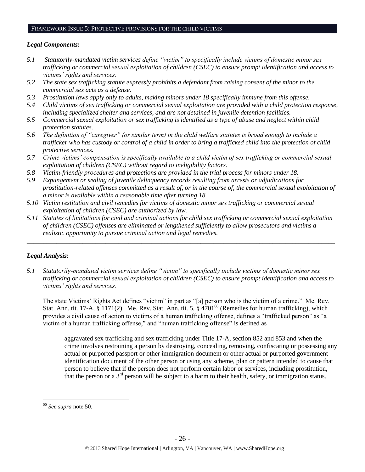#### FRAMEWORK ISSUE 5: PROTECTIVE PROVISIONS FOR THE CHILD VICTIMS

## *Legal Components:*

- *5.1 Statutorily-mandated victim services define "victim" to specifically include victims of domestic minor sex trafficking or commercial sexual exploitation of children (CSEC) to ensure prompt identification and access to victims' rights and services.*
- *5.2 The state sex trafficking statute expressly prohibits a defendant from raising consent of the minor to the commercial sex acts as a defense.*
- *5.3 Prostitution laws apply only to adults, making minors under 18 specifically immune from this offense.*
- *5.4 Child victims of sex trafficking or commercial sexual exploitation are provided with a child protection response, including specialized shelter and services, and are not detained in juvenile detention facilities.*
- *5.5 Commercial sexual exploitation or sex trafficking is identified as a type of abuse and neglect within child protection statutes.*
- *5.6 The definition of "caregiver" (or similar term) in the child welfare statutes is broad enough to include a trafficker who has custody or control of a child in order to bring a trafficked child into the protection of child protective services.*
- *5.7 Crime victims' compensation is specifically available to a child victim of sex trafficking or commercial sexual exploitation of children (CSEC) without regard to ineligibility factors.*
- *5.8 Victim-friendly procedures and protections are provided in the trial process for minors under 18.*
- *5.9 Expungement or sealing of juvenile delinquency records resulting from arrests or adjudications for prostitution-related offenses committed as a result of, or in the course of, the commercial sexual exploitation of a minor is available within a reasonable time after turning 18.*
- *5.10 Victim restitution and civil remedies for victims of domestic minor sex trafficking or commercial sexual exploitation of children (CSEC) are authorized by law.*
- *5.11 Statutes of limitations for civil and criminal actions for child sex trafficking or commercial sexual exploitation of children (CSEC) offenses are eliminated or lengthened sufficiently to allow prosecutors and victims a realistic opportunity to pursue criminal action and legal remedies.*

*\_\_\_\_\_\_\_\_\_\_\_\_\_\_\_\_\_\_\_\_\_\_\_\_\_\_\_\_\_\_\_\_\_\_\_\_\_\_\_\_\_\_\_\_\_\_\_\_\_\_\_\_\_\_\_\_\_\_\_\_\_\_\_\_\_\_\_\_\_\_\_\_\_\_\_\_\_\_\_\_\_\_\_\_\_\_\_\_\_\_\_\_\_\_*

# *Legal Analysis:*

*5.1 Statutorily-mandated victim services define "victim" to specifically include victims of domestic minor sex trafficking or commercial sexual exploitation of children (CSEC) to ensure prompt identification and access to victims' rights and services.*

The state Victims' Rights Act defines "victim" in part as "[a] person who is the victim of a crime." Me. Rev. Stat. Ann. tit. 17-A,  $\S$  1171(2). Me. Rev. Stat. Ann. tit. 5,  $\S$  4701<sup>66</sup> (Remedies for human trafficking), which provides a civil cause of action to victims of a human trafficking offense, defines a "trafficked person" as "a victim of a human trafficking offense," and "human trafficking offense" is defined as

aggravated sex trafficking and sex trafficking under Title 17-A, section 852 and 853 and when the crime involves restraining a person by destroying, concealing, removing, confiscating or possessing any actual or purported passport or other immigration document or other actual or purported government identification document of the other person or using any scheme, plan or pattern intended to cause that person to believe that if the person does not perform certain labor or services, including prostitution, that the person or a  $3<sup>rd</sup>$  person will be subject to a harm to their health, safety, or immigration status.

<sup>66</sup> *See supra* note [50.](#page-19-0)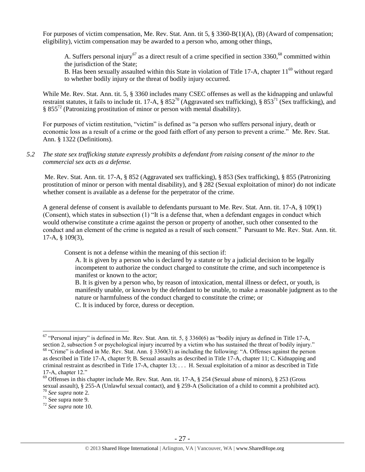For purposes of victim compensation, Me. Rev. Stat. Ann. tit 5, § 3360-B(1)(A), (B) (Award of compensation; eligibility), victim compensation may be awarded to a person who, among other things,

A. Suffers personal injury<sup>67</sup> as a direct result of a crime specified in section  $3360$ ,<sup>68</sup> committed within the jurisdiction of the State;

B. Has been sexually assaulted within this State in violation of Title 17-A, chapter  $11^{69}$  without regard to whether bodily injury or the threat of bodily injury occurred.

While Me. Rev. Stat. Ann. tit. 5, § 3360 includes many CSEC offenses as well as the kidnapping and unlawful restraint statutes, it fails to include tit. 17-A,  $\S 852^{70}$  (Aggravated sex trafficking),  $\S 853^{71}$  (Sex trafficking), and  $§ 855<sup>72</sup>$  (Patronizing prostitution of minor or person with mental disability).

For purposes of victim restitution, "victim" is defined as "a person who suffers personal injury, death or economic loss as a result of a crime or the good faith effort of any person to prevent a crime." Me. Rev. Stat. Ann. § 1322 (Definitions).

*5.2 The state sex trafficking statute expressly prohibits a defendant from raising consent of the minor to the commercial sex acts as a defense.*

Me. Rev. Stat. Ann. tit. 17-A, § 852 (Aggravated sex trafficking), § 853 (Sex trafficking), § 855 (Patronizing prostitution of minor or person with mental disability), and § 282 (Sexual exploitation of minor) do not indicate whether consent is available as a defense for the perpetrator of the crime.

A general defense of consent is available to defendants pursuant to Me. Rev. Stat. Ann. tit. 17-A, § 109(1) (Consent), which states in subsection (1) "It is a defense that, when a defendant engages in conduct which would otherwise constitute a crime against the person or property of another, such other consented to the conduct and an element of the crime is negated as a result of such consent." Pursuant to Me. Rev. Stat. Ann. tit. 17-A, § 109(3),

Consent is not a defense within the meaning of this section if:

A. It is given by a person who is declared by a statute or by a judicial decision to be legally incompetent to authorize the conduct charged to constitute the crime, and such incompetence is manifest or known to the actor;

B. It is given by a person who, by reason of intoxication, mental illness or defect, or youth, is manifestly unable, or known by the defendant to be unable, to make a reasonable judgment as to the nature or harmfulness of the conduct charged to constitute the crime; or C. It is induced by force, duress or deception.

<sup>&</sup>lt;sup>67</sup> "Personal injury" is defined in Me. Rev. Stat. Ann. tit. 5,  $\S$  3360(6) as "bodily injury as defined in Title 17-A, section 2, subsection 5 or psychological injury incurred by a victim who has sustained the threat of bodily injury." <sup>68</sup> "Crime" is defined in Me. Rev. Stat. Ann. § 3360(3) as including the following: "A. Offenses against the person as described in Title 17-A, chapter 9; B. Sexual assaults as described in Title 17-A, chapter 11; C. Kidnapping and criminal restraint as described in Title 17-A, chapter 13; . . . H. Sexual exploitation of a minor as described in Title 17-A, chapter 12."

 $69$  Offenses in this chapter include Me. Rev. Stat. Ann. tit. 17-A,  $\S$  254 (Sexual abuse of minors),  $\S$  253 (Gross sexual assault), § 255-A (Unlawful sexual contact), and § 259-A (Solicitation of a child to commit a prohibited act).

<sup>70</sup> *See supra* note [2.](#page-0-0)

 $71$  See supra note [9.](#page-2-2)

<sup>72</sup> *See supra* note [10.](#page-2-0)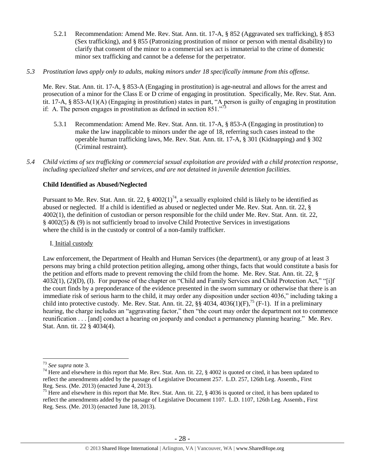5.2.1 Recommendation: Amend Me. Rev. Stat. Ann. tit. 17-A, § 852 (Aggravated sex trafficking), § 853 (Sex trafficking), and § 855 (Patronizing prostitution of minor or person with mental disability) to clarify that consent of the minor to a commercial sex act is immaterial to the crime of domestic minor sex trafficking and cannot be a defense for the perpetrator.

## *5.3 Prostitution laws apply only to adults, making minors under 18 specifically immune from this offense.*

Me. Rev. Stat. Ann. tit. 17-A, § 853-A (Engaging in prostitution) is age-neutral and allows for the arrest and prosecution of a minor for the Class E or D crime of engaging in prostitution. Specifically, Me. Rev. Stat. Ann. tit. 17-A, § 853-A(1)(A) (Engaging in prostitution) states in part, "A person is guilty of engaging in prostitution if: A. The person engages in prostitution as defined in section  $851$ ."

- 5.3.1 Recommendation: Amend Me. Rev. Stat. Ann. tit. 17-A, § 853-A (Engaging in prostitution) to make the law inapplicable to minors under the age of 18, referring such cases instead to the operable human trafficking laws, Me. Rev. Stat. Ann. tit. 17-A, § 301 (Kidnapping) and § 302 (Criminal restraint).
- *5.4 Child victims of sex trafficking or commercial sexual exploitation are provided with a child protection response, including specialized shelter and services, and are not detained in juvenile detention facilities.*

# **Child Identified as Abused/Neglected**

Pursuant to Me. Rev. Stat. Ann. tit. 22,  $\S$  4002(1)<sup>74</sup>, a sexually exploited child is likely to be identified as abused or neglected. If a child is identified as abused or neglected under Me. Rev. Stat. Ann. tit. 22, § 4002(1), the definition of custodian or person responsible for the child under Me. Rev. Stat. Ann. tit. 22, § 4002(5) & (9) is not sufficiently broad to involve Child Protective Services in investigations where the child is in the custody or control of a non-family trafficker.

## I. Initial custody

Law enforcement, the Department of Health and Human Services (the department), or any group of at least 3 persons may bring a child protection petition alleging, among other things, facts that would constitute a basis for the petition and efforts made to prevent removing the child from the home. Me. Rev. Stat. Ann. tit. 22, § 4032(1), (2)(D), (I). For purpose of the chapter on "Child and Family Services and Child Protection Act," "[i]f the court finds by a preponderance of the evidence presented in the sworn summary or otherwise that there is an immediate risk of serious harm to the child, it may order any disposition under section 4036," including taking a child into protective custody. Me. Rev. Stat. Ann. tit. 22,  $\S\$  4034, 4036(1)(F),<sup>75</sup> (F-1). If in a preliminary hearing, the charge includes an "aggravating factor," then "the court may order the department not to commence reunification . . . [and] conduct a hearing on jeopardy and conduct a permanency planning hearing." Me. Rev. Stat. Ann. tit. 22 § 4034(4).

<sup>73</sup> *See supra* note [3.](#page-1-1)

 $74$  Here and elsewhere in this report that Me. Rev. Stat. Ann. tit. 22,  $\S$  4002 is quoted or cited, it has been updated to reflect the amendments added by the passage of Legislative Document 257. L.D. 257, 126th Leg. Assemb., First Reg. Sess. (Me. 2013) (enacted June 4, 2013).

<sup>&</sup>lt;sup>75</sup> Here and elsewhere in this report that Me. Rev. Stat. Ann. tit. 22, § 4036 is quoted or cited, it has been updated to reflect the amendments added by the passage of Legislative Document 1107. L.D. 1107, 126th Leg. Assemb., First Reg. Sess. (Me. 2013) (enacted June 18, 2013).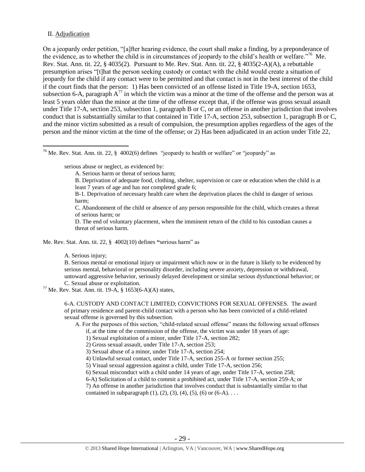## II. Adjudication

 $\overline{a}$ 

On a jeopardy order petition, "[a]fter hearing evidence, the court shall make a finding, by a preponderance of the evidence, as to whether the child is in circumstances of jeopardy to the child's health or welfare."<sup>76</sup> Me. Rev. Stat. Ann. tit. 22, § 4035(2). Pursuant to Me. Rev. Stat. Ann. tit. 22, § 4035(2-A)(A), a rebuttable presumption arises "[t]hat the person seeking custody or contact with the child would create a situation of jeopardy for the child if any contact were to be permitted and that contact is not in the best interest of the child if the court finds that the person: 1) Has been convicted of an offense listed in Title 19-A, section 1653, subsection 6-A, paragraph  $A^{77}$  in which the victim was a minor at the time of the offense and the person was at least 5 years older than the minor at the time of the offense except that, if the offense was gross sexual assault under Title 17-A, section 253, subsection 1, paragraph B or C, or an offense in another jurisdiction that involves conduct that is substantially similar to that contained in Title 17-A, section 253, subsection 1, paragraph B or C, and the minor victim submitted as a result of compulsion, the presumption applies regardless of the ages of the person and the minor victim at the time of the offense; or 2) Has been adjudicated in an action under Title 22,

<sup>76</sup> Me. Rev. Stat. Ann. tit. 22,  $\S$  4002(6) defines "jeopardy to health or welfare" or "jeopardy" as

serious abuse or neglect, as evidenced by:

- A. Serious harm or threat of serious harm;
- B. Deprivation of adequate food, clothing, shelter, supervision or care or education when the child is at least 7 years of age and has not completed grade 6;

B-1. Deprivation of necessary health care when the deprivation places the child in danger of serious harm;

C. Abandonment of the child or absence of any person responsible for the child, which creates a threat of serious harm; or

D. The end of voluntary placement, when the imminent return of the child to his custodian causes a threat of serious harm.

Me. Rev. Stat. Ann. tit. 22, § 4002(10) defines **"**serious harm" as

A. Serious injury;

B. Serious mental or emotional injury or impairment which now or in the future is likely to be evidenced by serious mental, behavioral or personality disorder, including severe anxiety, depression or withdrawal, untoward aggressive behavior, seriously delayed development or similar serious dysfunctional behavior; or C. Sexual abuse or exploitation.

 $77$  Me. Rev. Stat. Ann. tit. 19-A, § 1653(6-A)(A) states,

6-A. CUSTODY AND CONTACT LIMITED; CONVICTIONS FOR SEXUAL OFFENSES. The award of primary residence and parent-child contact with a person who has been convicted of a child-related sexual offense is governed by this subsection.

A. For the purposes of this section, "child-related sexual offense" means the following sexual offenses if, at the time of the commission of the offense, the victim was under 18 years of age:

1) Sexual exploitation of a minor, under Title 17-A, section 282;

2) Gross sexual assault, under Title 17-A, section 253;

3) Sexual abuse of a minor, under Title 17-A, section 254;

4) Unlawful sexual contact, under Title 17-A, section 255-A or former section 255;

5) Visual sexual aggression against a child, under Title 17-A, section 256;

6) Sexual misconduct with a child under 14 years of age, under Title 17-A, section 258;

6-A) Solicitation of a child to commit a prohibited act, under Title 17-A, section 259-A; or

7) An offense in another jurisdiction that involves conduct that is substantially similar to that contained in subparagraph  $(1)$ ,  $(2)$ ,  $(3)$ ,  $(4)$ ,  $(5)$ ,  $(6)$  or  $(6-A)$ ...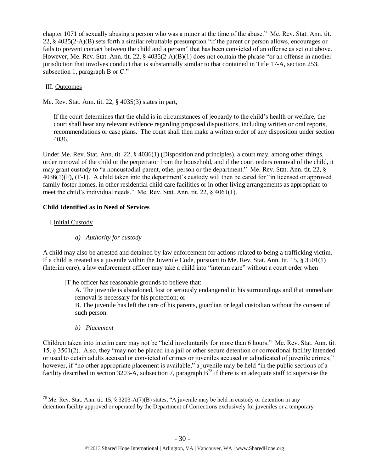chapter 1071 of sexually abusing a person who was a minor at the time of the abuse." Me. Rev. Stat. Ann. tit. 22, § 4035(2-A)(B) sets forth a similar rebuttable presumption "if the parent or person allows, encourages or fails to prevent contact between the child and a person" that has been convicted of an offense as set out above. However, Me. Rev. Stat. Ann. tit. 22, § 4035(2-A)(B)(1) does not contain the phrase "or an offense in another jurisdiction that involves conduct that is substantially similar to that contained in Title 17-A, section 253, subsection 1, paragraph B or C."

# III. Outcomes

Me. Rev. Stat. Ann. tit. 22, § 4035(3) states in part,

If the court determines that the child is in circumstances of jeopardy to the child's health or welfare, the court shall hear any relevant evidence regarding proposed dispositions, including written or oral reports, recommendations or case plans. The court shall then make a written order of any disposition under section 4036.

Under Me. Rev. Stat. Ann. tit. 22, § 4036(1) (Disposition and principles), a court may, among other things, order removal of the child or the perpetrator from the household, and if the court orders removal of the child, it may grant custody to "a noncustodial parent, other person or the department." Me. Rev. Stat. Ann. tit. 22, § 4036(1)(F), (F-1). A child taken into the department's custody will then be cared for "in licensed or approved family foster homes, in other residential child care facilities or in other living arrangements as appropriate to meet the child's individual needs." Me. Rev. Stat. Ann. tit. 22, § 4061(1).

# **Child Identified as in Need of Services**

# I.Initial Custody

 $\overline{a}$ 

*a) Authority for custody*

A child may also be arrested and detained by law enforcement for actions related to being a trafficking victim. If a child is treated as a juvenile within the Juvenile Code, pursuant to Me. Rev. Stat. Ann. tit. 15, § 3501(1) (Interim care), a law enforcement officer may take a child into "interim care" without a court order when

[T]he officer has reasonable grounds to believe that:

A. The juvenile is abandoned, lost or seriously endangered in his surroundings and that immediate removal is necessary for his protection; or

B. The juvenile has left the care of his parents, guardian or legal custodian without the consent of such person.

*b) Placement* 

Children taken into interim care may not be "held involuntarily for more than 6 hours." Me. Rev. Stat. Ann. tit. 15, § 3501(2). Also, they "may not be placed in a jail or other secure detention or correctional facility intended or used to detain adults accused or convicted of crimes or juveniles accused or adjudicated of juvenile crimes;" however, if "no other appropriate placement is available," a juvenile may be held "in the public sections of a facility described in section 3203-A, subsection 7, paragraph  $B^{78}$  if there is an adequate staff to supervise the

<sup>&</sup>lt;sup>78</sup> Me. Rev. Stat. Ann. tit. 15, § 3203-A(7)(B) states, "A juvenile may be held in custody or detention in any detention facility approved or operated by the Department of Corrections exclusively for juveniles or a temporary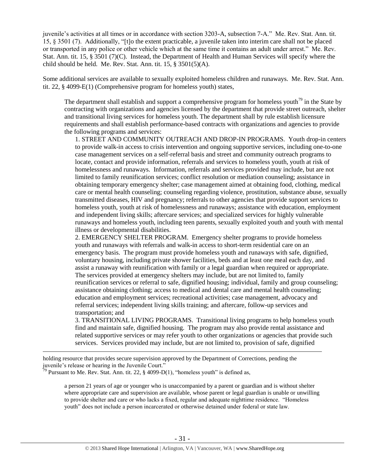juvenile's activities at all times or in accordance with section 3203-A, subsection 7-A." Me. Rev. Stat. Ann. tit. 15, § 3501 (7). Additionally, "[t]o the extent practicable, a juvenile taken into interim care shall not be placed or transported in any police or other vehicle which at the same time it contains an adult under arrest." Me. Rev. Stat. Ann. tit. 15, § 3501 (7)(C). Instead, the Department of Health and Human Services will specify where the child should be held. Me. Rev. Stat. Ann. tit. 15, § 3501(5)(A).

Some additional services are available to sexually exploited homeless children and runaways. Me. Rev. Stat. Ann. tit. 22, § 4099-E(1) (Comprehensive program for homeless youth) states,

The department shall establish and support a comprehensive program for homeless youth<sup>79</sup> in the State by contracting with organizations and agencies licensed by the department that provide street outreach, shelter and transitional living services for homeless youth. The department shall by rule establish licensure requirements and shall establish performance-based contracts with organizations and agencies to provide the following programs and services:

1. STREET AND COMMUNITY OUTREACH AND DROP-IN PROGRAMS. Youth drop-in centers to provide walk-in access to crisis intervention and ongoing supportive services, including one-to-one case management services on a self-referral basis and street and community outreach programs to locate, contact and provide information, referrals and services to homeless youth, youth at risk of homelessness and runaways. Information, referrals and services provided may include, but are not limited to family reunification services; conflict resolution or mediation counseling; assistance in obtaining temporary emergency shelter; case management aimed at obtaining food, clothing, medical care or mental health counseling; counseling regarding violence, prostitution, substance abuse, sexually transmitted diseases, HIV and pregnancy; referrals to other agencies that provide support services to homeless youth, youth at risk of homelessness and runaways; assistance with education, employment and independent living skills; aftercare services; and specialized services for highly vulnerable runaways and homeless youth, including teen parents, sexually exploited youth and youth with mental illness or developmental disabilities.

2. EMERGENCY SHELTER PROGRAM. Emergency shelter programs to provide homeless youth and runaways with referrals and walk-in access to short-term residential care on an emergency basis. The program must provide homeless youth and runaways with safe, dignified, voluntary housing, including private shower facilities, beds and at least one meal each day, and assist a runaway with reunification with family or a legal guardian when required or appropriate. The services provided at emergency shelters may include, but are not limited to, family reunification services or referral to safe, dignified housing; individual, family and group counseling; assistance obtaining clothing; access to medical and dental care and mental health counseling; education and employment services; recreational activities; case management, advocacy and referral services; independent living skills training; and aftercare, follow-up services and transportation; and

3. TRANSITIONAL LIVING PROGRAMS. Transitional living programs to help homeless youth find and maintain safe, dignified housing. The program may also provide rental assistance and related supportive services or may refer youth to other organizations or agencies that provide such services. Services provided may include, but are not limited to, provision of safe, dignified

holding resource that provides secure supervision approved by the Department of Corrections, pending the juvenile's release or hearing in the Juvenile Court."

 $79$  Pursuant to Me. Rev. Stat. Ann. tit. 22, § 4099-D(1), "homeless youth" is defined as,

 $\overline{a}$ 

a person 21 years of age or younger who is unaccompanied by a parent or guardian and is without shelter where appropriate care and supervision are available, whose parent or legal guardian is unable or unwilling to provide shelter and care or who lacks a fixed, regular and adequate nighttime residence. "Homeless youth" does not include a person incarcerated or otherwise detained under federal or state law.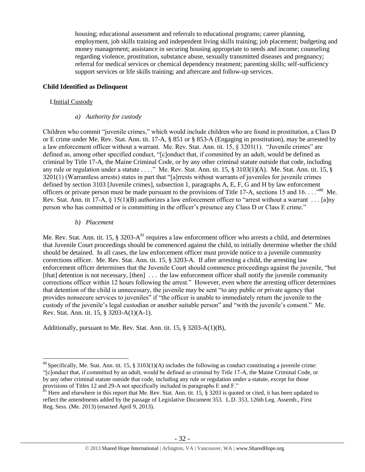housing; educational assessment and referrals to educational programs; career planning, employment, job skills training and independent living skills training; job placement; budgeting and money management; assistance in securing housing appropriate to needs and income; counseling regarding violence, prostitution, substance abuse, sexually transmitted diseases and pregnancy; referral for medical services or chemical dependency treatment; parenting skills; self-sufficiency support services or life skills training; and aftercare and follow-up services.

# **Child Identified as Delinquent**

# I.Initial Custody

# *a) Authority for custody*

Children who commit "juvenile crimes," which would include children who are found in prostitution, a Class D or E crime under Me. Rev. Stat. Ann. tit. 17-A, § 851 or § 853-A (Engaging in prostitution), may be arrested by a law enforcement officer without a warrant. Me. Rev. Stat. Ann. tit. 15, § 3201(1). "Juvenile crimes" are defined as, among other specified conduct, "[c]onduct that, if committed by an adult, would be defined as criminal by Title 17-A, the Maine Criminal Code, or by any other criminal statute outside that code, including any rule or regulation under a statute . . . ." Me. Rev. Stat. Ann. tit. 15, § 3103(1)(A). Me. Stat. Ann. tit. 15, § 3201(1) (Warrantless arrests) states in part that "[a]rrests without warrants of juveniles for juvenile crimes defined by section 3103 [Juvenile crimes], subsection 1, paragraphs A, E, F, G and H by law enforcement officers or private person must be made pursuant to the provisions of Title 17-A, sections 15 and 16.  $\ldots$ <sup>80</sup> Me. Rev. Stat. Ann. tit 17-A, § 15(1)(B) authorizes a law enforcement officer to "arrest without a warrant . . . [a]ny person who has committed or is committing in the officer's presence any Class D or Class E crime."

## *b) Placement*

 $\overline{a}$ 

Me. Rev. Stat. Ann. tit. 15,  $\S 3203-A^{81}$  requires a law enforcement officer who arrests a child, and determines that Juvenile Court proceedings should be commenced against the child, to initially determine whether the child should be detained. In all cases, the law enforcement officer must provide notice to a juvenile community corrections officer. Me. Rev. Stat. Ann. tit. 15, § 3203-A. If after arresting a child, the arresting law enforcement officer determines that the Juvenile Court should commence proceedings against the juvenile, "but [that] detention is not necessary, [then] ... the law enforcement officer shall notify the juvenile community corrections officer within 12 hours following the arrest." However, even where the arresting officer determines that detention of the child is unnecessary, the juvenile may be sent "to any public or private agency that provides nonsecure services to juveniles" if "the officer is unable to immediately return the juvenile to the custody of the juvenile's legal custodian or another suitable person" and "with the juvenile's consent." Me. Rev. Stat. Ann. tit. 15, § 3203-A(1)(A-1).

Additionally, pursuant to Me. Rev. Stat. Ann. tit. 15, § 3203-A(1)(B),

<sup>&</sup>lt;sup>80</sup> Specifically, Me. Stat. Ann. tit. 15, § 3103(1)(A) includes the following as conduct constituting a juvenile crime: "[c]onduct that, if committed by an adult, would be defined as criminal by Title 17-A, the Maine Criminal Code, or by any other criminal statute outside that code, including any rule or regulation under a statute, except for those provisions of Titles 12 and 29-A not specifically included in paragraphs E and F."

 $81$  Here and elsewhere in this report that Me. Rev. Stat. Ann. tit. 15,  $\S$  3203 is quoted or cited, it has been updated to reflect the amendments added by the passage of Legislative Document 353. L.D. 353, 126th Leg. Assemb., First Reg. Sess. (Me. 2013) (enacted April 9, 2013).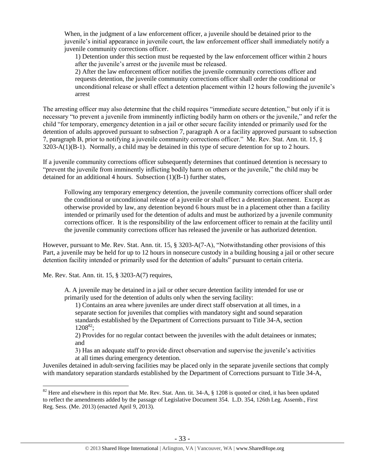When, in the judgment of a law enforcement officer, a juvenile should be detained prior to the juvenile's initial appearance in juvenile court, the law enforcement officer shall immediately notify a juvenile community corrections officer.

1) Detention under this section must be requested by the law enforcement officer within 2 hours after the juvenile's arrest or the juvenile must be released.

2) After the law enforcement officer notifies the juvenile community corrections officer and requests detention, the juvenile community corrections officer shall order the conditional or unconditional release or shall effect a detention placement within 12 hours following the juvenile's arrest

The arresting officer may also determine that the child requires "immediate secure detention," but only if it is necessary "to prevent a juvenile from imminently inflicting bodily harm on others or the juvenile," and refer the child "for temporary, emergency detention in a jail or other secure facility intended or primarily used for the detention of adults approved pursuant to subsection 7, paragraph A or a facility approved pursuant to subsection 7, paragraph B, prior to notifying a juvenile community corrections officer." Me. Rev. Stat. Ann. tit. 15, § 3203-A(1)(B-1). Normally, a child may be detained in this type of secure detention for up to 2 hours.

If a juvenile community corrections officer subsequently determines that continued detention is necessary to "prevent the juvenile from imminently inflicting bodily harm on others or the juvenile," the child may be detained for an additional 4 hours. Subsection (1)(B-1) further states,

Following any temporary emergency detention, the juvenile community corrections officer shall order the conditional or unconditional release of a juvenile or shall effect a detention placement. Except as otherwise provided by law, any detention beyond 6 hours must be in a placement other than a facility intended or primarily used for the detention of adults and must be authorized by a juvenile community corrections officer. It is the responsibility of the law enforcement officer to remain at the facility until the juvenile community corrections officer has released the juvenile or has authorized detention.

However, pursuant to Me. Rev. Stat. Ann. tit. 15, § 3203-A(7-A), "Notwithstanding other provisions of this Part, a juvenile may be held for up to 12 hours in nonsecure custody in a building housing a jail or other secure detention facility intended or primarily used for the detention of adults" pursuant to certain criteria.

Me. Rev. Stat. Ann. tit. 15, § 3203-A(7) requires,

 $\overline{a}$ 

A. A juvenile may be detained in a jail or other secure detention facility intended for use or primarily used for the detention of adults only when the serving facility:

1) Contains an area where juveniles are under direct staff observation at all times, in a separate section for juveniles that complies with mandatory sight and sound separation standards established by the Department of Corrections pursuant to Title 34-A, section  $1208^{82}$ ;

2) Provides for no regular contact between the juveniles with the adult detainees or inmates; and

3) Has an adequate staff to provide direct observation and supervise the juvenile's activities at all times during emergency detention.

Juveniles detained in adult-serving facilities may be placed only in the separate juvenile sections that comply with mandatory separation standards established by the Department of Corrections pursuant to Title 34-A,

<sup>&</sup>lt;sup>82</sup> Here and elsewhere in this report that Me. Rev. Stat. Ann. tit. 34-A, § 1208 is quoted or cited, it has been updated to reflect the amendments added by the passage of Legislative Document 354. L.D. 354, 126th Leg. Assemb., First Reg. Sess. (Me. 2013) (enacted April 9, 2013).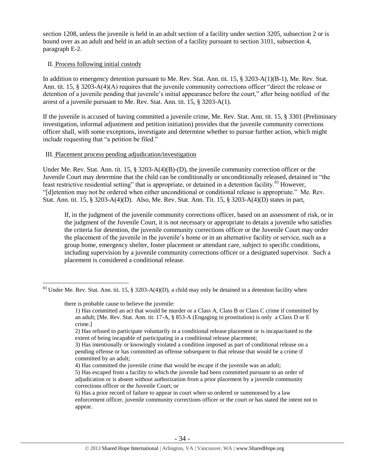section 1208, unless the juvenile is held in an adult section of a facility under section 3205, subsection 2 or is bound over as an adult and held in an adult section of a facility pursuant to section 3101, subsection 4, paragraph E-2.

# II. Process following initial custody

In addition to emergency detention pursuant to Me. Rev. Stat. Ann. tit. 15, § 3203-A(1)(B-1), Me. Rev. Stat. Ann. tit. 15, § 3203-A(4)(A) requires that the juvenile community corrections officer "direct the release or detention of a juvenile pending that juvenile's initial appearance before the court," after being notified of the arrest of a juvenile pursuant to Me. Rev. Stat. Ann. tit. 15, § 3203-A(1).

If the juvenile is accused of having committed a juvenile crime, Me. Rev. Stat. Ann. tit. 15, § 3301 (Preliminary investigation, informal adjustment and petition initiation) provides that the juvenile community corrections officer shall, with some exceptions, investigate and determine whether to pursue further action, which might include requesting that "a petition be filed."

# III. Placement process pending adjudication/investigation

Under Me. Rev. Stat. Ann. tit. 15, § 3203-A(4)(B)-(D), the juvenile community correction officer or the Juvenile Court may determine that the child can be conditionally or unconditionally released, detained in "the least restrictive residential setting" that is appropriate, or detained in a detention facility.<sup>83</sup> However, "[d]etention may not be ordered when either unconditional or conditional release is appropriate." Me. Rev. Stat. Ann. tit. 15, § 3203-A(4)(D). Also, Me. Rev. Stat. Ann. Tit. 15, § 3203-A(4)(D) states in part,

If, in the judgment of the juvenile community corrections officer, based on an assessment of risk, or in the judgment of the Juvenile Court, it is not necessary or appropriate to detain a juvenile who satisfies the criteria for detention, the juvenile community corrections officer or the Juvenile Court may order the placement of the juvenile in the juvenile's home or in an alternative facility or service, such as a group home, emergency shelter, foster placement or attendant care, subject to specific conditions, including supervision by a juvenile community corrections officer or a designated supervisor. Such a placement is considered a conditional release.

there is probable cause to believe the juvenile:

 $\overline{a}$ 

4) Has committed the juvenile crime that would be escape if the juvenile was an adult;

 $83$  Under Me. Rev. Stat. Ann. tit. 15, § 3203-A(4)(D), a child may only be detained in a detention facility when

<sup>1)</sup> Has committed an act that would be murder or a Class A, Class B or Class C crime if committed by an adult; [Me. Rev. Stat. Ann. tit. 17-A, § 853-A (Engaging in prostitution) is only a Class D or E crime.]

<sup>2)</sup> Has refused to participate voluntarily in a conditional release placement or is incapacitated to the extent of being incapable of participating in a conditional release placement;

<sup>3)</sup> Has intentionally or knowingly violated a condition imposed as part of conditional release on a pending offense or has committed an offense subsequent to that release that would be a crime if committed by an adult;

<sup>5)</sup> Has escaped from a facility to which the juvenile had been committed pursuant to an order of adjudication or is absent without authorization from a prior placement by a juvenile community corrections officer or the Juvenile Court; or

<sup>6)</sup> Has a prior record of failure to appear in court when so ordered or summonsed by a law enforcement officer, juvenile community corrections officer or the court or has stated the intent not to appear.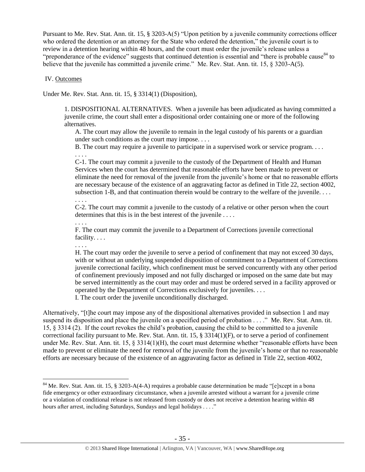Pursuant to Me. Rev. Stat. Ann. tit. 15, § 3203-A(5) "Upon petition by a juvenile community corrections officer who ordered the detention or an attorney for the State who ordered the detention," the juvenile court is to review in a detention hearing within 48 hours, and the court must order the juvenile's release unless a "preponderance of the evidence" suggests that continued detention is essential and "there is probable cause<sup>84</sup> to believe that the juvenile has committed a juvenile crime." Me. Rev. Stat. Ann. tit. 15, § 3203-A(5).

## IV. Outcomes

Under Me. Rev. Stat. Ann. tit. 15, § 3314(1) (Disposition),

1. DISPOSITIONAL ALTERNATIVES. When a juvenile has been adjudicated as having committed a juvenile crime, the court shall enter a dispositional order containing one or more of the following alternatives.

A. The court may allow the juvenile to remain in the legal custody of his parents or a guardian under such conditions as the court may impose. . . .

B. The court may require a juvenile to participate in a supervised work or service program. . . .

. . . . C-1. The court may commit a juvenile to the custody of the Department of Health and Human Services when the court has determined that reasonable efforts have been made to prevent or eliminate the need for removal of the juvenile from the juvenile's home or that no reasonable efforts are necessary because of the existence of an aggravating factor as defined in Title 22, section 4002, subsection 1-B, and that continuation therein would be contrary to the welfare of the juvenile.  $\dots$ 

. . . . C-2. The court may commit a juvenile to the custody of a relative or other person when the court determines that this is in the best interest of the juvenile . . . .

. . . .

F. The court may commit the juvenile to a Department of Corrections juvenile correctional facility. . . .

. . . .

 $\overline{a}$ 

H. The court may order the juvenile to serve a period of confinement that may not exceed 30 days, with or without an underlying suspended disposition of commitment to a Department of Corrections juvenile correctional facility, which confinement must be served concurrently with any other period of confinement previously imposed and not fully discharged or imposed on the same date but may be served intermittently as the court may order and must be ordered served in a facility approved or operated by the Department of Corrections exclusively for juveniles. . . .

I. The court order the juvenile unconditionally discharged.

Alternatively, "[t]he court may impose any of the dispositional alternatives provided in subsection 1 and may suspend its disposition and place the juvenile on a specified period of probation . . . ." Me. Rev. Stat. Ann. tit. 15, § 3314 (2). If the court revokes the child's probation, causing the child to be committed to a juvenile correctional facility pursuant to Me. Rev. Stat. Ann. tit. 15, § 3314(1)(F), or to serve a period of confinement under Me. Rev. Stat. Ann. tit. 15, § 3314(1)(H), the court must determine whether "reasonable efforts have been made to prevent or eliminate the need for removal of the juvenile from the juvenile's home or that no reasonable efforts are necessary because of the existence of an aggravating factor as defined in Title 22, section 4002,

<sup>&</sup>lt;sup>84</sup> Me. Rev. Stat. Ann. tit. 15, § 3203-A(4-A) requires a probable cause determination be made "[e]xcept in a bona fide emergency or other extraordinary circumstance, when a juvenile arrested without a warrant for a juvenile crime or a violation of conditional release is not released from custody or does not receive a detention hearing within 48 hours after arrest, including Saturdays, Sundays and legal holidays . . . ."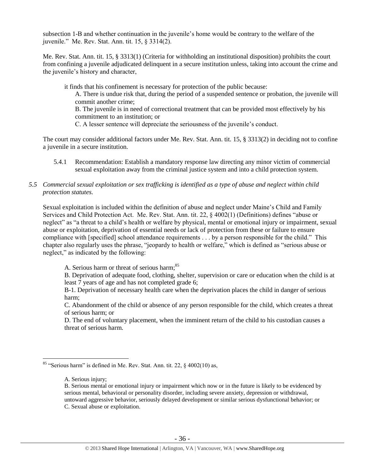subsection 1-B and whether continuation in the juvenile's home would be contrary to the welfare of the juvenile." Me. Rev. Stat. Ann. tit. 15, § 3314(2).

Me. Rev. Stat. Ann. tit. 15, § 3313(1) (Criteria for withholding an institutional disposition) prohibits the court from confining a juvenile adjudicated delinquent in a secure institution unless, taking into account the crime and the juvenile's history and character,

it finds that his confinement is necessary for protection of the public because: A. There is undue risk that, during the period of a suspended sentence or probation, the juvenile will commit another crime; B. The juvenile is in need of correctional treatment that can be provided most effectively by his

commitment to an institution; or

C. A lesser sentence will depreciate the seriousness of the juvenile's conduct.

The court may consider additional factors under Me. Rev. Stat. Ann. tit. 15, § 3313(2) in deciding not to confine a juvenile in a secure institution.

5.4.1 Recommendation: Establish a mandatory response law directing any minor victim of commercial sexual exploitation away from the criminal justice system and into a child protection system.

# *5.5 Commercial sexual exploitation or sex trafficking is identified as a type of abuse and neglect within child protection statutes.*

Sexual exploitation is included within the definition of abuse and neglect under Maine's Child and Family Services and Child Protection Act. Me. Rev. Stat. Ann. tit. 22, § 4002(1) (Definitions) defines "abuse or neglect" as "a threat to a child's health or welfare by physical, mental or emotional injury or impairment, sexual abuse or exploitation, deprivation of essential needs or lack of protection from these or failure to ensure compliance with [specified] school attendance requirements . . . by a person responsible for the child." This chapter also regularly uses the phrase, "jeopardy to health or welfare," which is defined as "serious abuse or neglect," as indicated by the following:

A. Serious harm or threat of serious harm;<sup>85</sup>

B. Deprivation of adequate food, clothing, shelter, supervision or care or education when the child is at least 7 years of age and has not completed grade 6;

B-1. Deprivation of necessary health care when the deprivation places the child in danger of serious harm;

C. Abandonment of the child or absence of any person responsible for the child, which creates a threat of serious harm; or

D. The end of voluntary placement, when the imminent return of the child to his custodian causes a threat of serious harm.

<sup>&</sup>lt;sup>85</sup> "Serious harm" is defined in Me. Rev. Stat. Ann. tit. 22,  $\S$  4002(10) as,

A. Serious injury;

B. Serious mental or emotional injury or impairment which now or in the future is likely to be evidenced by serious mental, behavioral or personality disorder, including severe anxiety, depression or withdrawal, untoward aggressive behavior, seriously delayed development or similar serious dysfunctional behavior; or C. Sexual abuse or exploitation.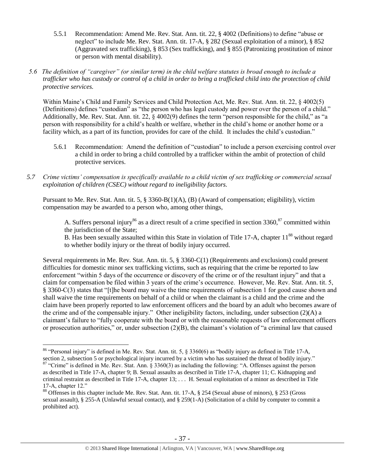- 5.5.1 Recommendation: Amend Me. Rev. Stat. Ann. tit. 22, § 4002 (Definitions) to define "abuse or neglect" to include Me. Rev. Stat. Ann. tit. 17-A, § 282 (Sexual exploitation of a minor), § 852 (Aggravated sex trafficking), § 853 (Sex trafficking), and § 855 (Patronizing prostitution of minor or person with mental disability).
- *5.6 The definition of "caregiver" (or similar term) in the child welfare statutes is broad enough to include a trafficker who has custody or control of a child in order to bring a trafficked child into the protection of child protective services.*

Within Maine's Child and Family Services and Child Protection Act, Me. Rev. Stat. Ann. tit. 22, § 4002(5) (Definitions) defines "custodian" as "the person who has legal custody and power over the person of a child." Additionally, Me. Rev. Stat. Ann. tit. 22, § 4002(9) defines the term "person responsible for the child," as "a person with responsibility for a child's health or welfare, whether in the child's home or another home or a facility which, as a part of its function, provides for care of the child. It includes the child's custodian."

- 5.6.1 Recommendation: Amend the definition of "custodian" to include a person exercising control over a child in order to bring a child controlled by a trafficker within the ambit of protection of child protective services.
- *5.7 Crime victims' compensation is specifically available to a child victim of sex trafficking or commercial sexual exploitation of children (CSEC) without regard to ineligibility factors.*

Pursuant to Me. Rev. Stat. Ann. tit. 5, § 3360-B(1)(A), (B) (Award of compensation; eligibility), victim compensation may be awarded to a person who, among other things,

A. Suffers personal injury<sup>86</sup> as a direct result of a crime specified in section  $3360$ ,  $87$  committed within the jurisdiction of the State;

B. Has been sexually assaulted within this State in violation of Title 17-A, chapter  $11^{88}$  without regard to whether bodily injury or the threat of bodily injury occurred.

Several requirements in Me. Rev. Stat. Ann. tit. 5, § 3360-C(1) (Requirements and exclusions) could present difficulties for domestic minor sex trafficking victims, such as requiring that the crime be reported to law enforcement "within 5 days of the occurrence or discovery of the crime or of the resultant injury" and that a claim for compensation be filed within 3 years of the crime's occurrence. However, Me. Rev. Stat. Ann. tit. 5, § 3360-C(3) states that "[t]he board may waive the time requirements of subsection 1 for good cause shown and shall waive the time requirements on behalf of a child or when the claimant is a child and the crime and the claim have been properly reported to law enforcement officers and the board by an adult who becomes aware of the crime and of the compensable injury." Other ineligibility factors, including, under subsection (2)(A) a claimant's failure to "fully cooperate with the board or with the reasonable requests of law enforcement officers or prosecution authorities," or, under subsection (2)(B), the claimant's violation of "a criminal law that caused

<sup>86</sup> "Personal injury" is defined in Me. Rev. Stat. Ann. tit. 5, § 3360(6) as "bodily injury as defined in Title 17-A, section 2, subsection 5 or psychological injury incurred by a victim who has sustained the threat of bodily injury."

 $87$  "Crime" is defined in Me. Rev. Stat. Ann. § 3360(3) as including the following: "A. Offenses against the person as described in Title 17-A, chapter 9; B. Sexual assaults as described in Title 17-A, chapter 11; C. Kidnapping and criminal restraint as described in Title 17-A, chapter 13; . . . H. Sexual exploitation of a minor as described in Title 17-A, chapter 12."

<sup>88</sup> Offenses in this chapter include Me. Rev. Stat. Ann. tit. 17-A, § 254 (Sexual abuse of minors), § 253 (Gross sexual assault), § 255-A (Unlawful sexual contact), and § 259(1-A) (Solicitation of a child by computer to commit a prohibited act).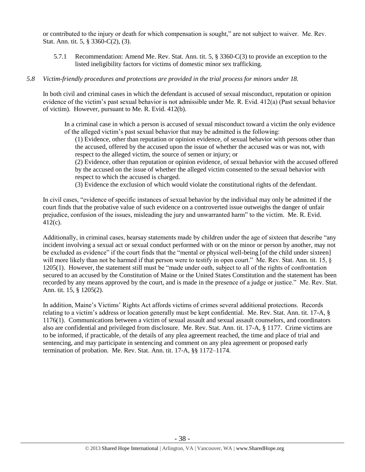or contributed to the injury or death for which compensation is sought," are not subject to waiver. Me. Rev. Stat. Ann. tit. 5, § 3360-C(2), (3).

5.7.1 Recommendation: Amend Me. Rev. Stat. Ann. tit. 5, § 3360-C(3) to provide an exception to the listed ineligibility factors for victims of domestic minor sex trafficking.

## *5.8 Victim-friendly procedures and protections are provided in the trial process for minors under 18.*

In both civil and criminal cases in which the defendant is accused of sexual misconduct, reputation or opinion evidence of the victim's past sexual behavior is not admissible under Me. R. Evid. 412(a) (Past sexual behavior of victim). However, pursuant to Me. R. Evid. 412(b).

In a criminal case in which a person is accused of sexual misconduct toward a victim the only evidence of the alleged victim's past sexual behavior that may be admitted is the following:

(1) Evidence, other than reputation or opinion evidence, of sexual behavior with persons other than the accused, offered by the accused upon the issue of whether the accused was or was not, with respect to the alleged victim, the source of semen or injury; or

(2) Evidence, other than reputation or opinion evidence, of sexual behavior with the accused offered by the accused on the issue of whether the alleged victim consented to the sexual behavior with respect to which the accused is charged.

(3) Evidence the exclusion of which would violate the constitutional rights of the defendant.

In civil cases, "evidence of specific instances of sexual behavior by the individual may only be admitted if the court finds that the probative value of such evidence on a controverted issue outweighs the danger of unfair prejudice, confusion of the issues, misleading the jury and unwarranted harm" to the victim. Me. R. Evid. 412(c).

Additionally, in criminal cases, hearsay statements made by children under the age of sixteen that describe "any incident involving a sexual act or sexual conduct performed with or on the minor or person by another, may not be excluded as evidence" if the court finds that the "mental or physical well-being [of the child under sixteen] will more likely than not be harmed if that person were to testify in open court." Me. Rev. Stat. Ann. tit. 15, § 1205(1). However, the statement still must be "made under oath, subject to all of the rights of confrontation secured to an accused by the Constitution of Maine or the United States Constitution and the statement has been recorded by any means approved by the court, and is made in the presence of a judge or justice." Me. Rev. Stat. Ann. tit. 15, § 1205(2).

In addition, Maine's Victims' Rights Act affords victims of crimes several additional protections. Records relating to a victim's address or location generally must be kept confidential. Me. Rev. Stat. Ann. tit. 17-A, § 1176(1). Communications between a victim of sexual assault and sexual assault counselors, and coordinators also are confidential and privileged from disclosure. Me. Rev. Stat. Ann. tit. 17-A, § 1177. Crime victims are to be informed, if practicable, of the details of any plea agreement reached, the time and place of trial and sentencing, and may participate in sentencing and comment on any plea agreement or proposed early termination of probation. Me. Rev. Stat. Ann. tit. 17-A, §§ 1172–1174.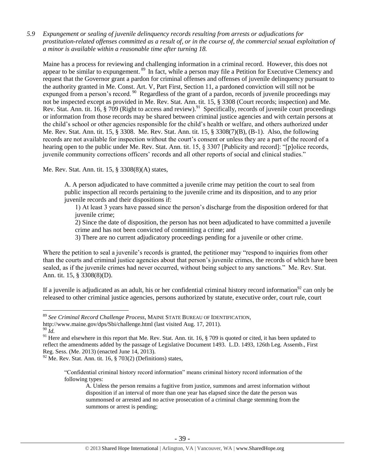*5.9 Expungement or sealing of juvenile delinquency records resulting from arrests or adjudications for prostitution-related offenses committed as a result of, or in the course of, the commercial sexual exploitation of a minor is available within a reasonable time after turning 18.*

Maine has a process for reviewing and challenging information in a criminal record. However, this does not appear to be similar to expungement.<sup>89</sup> In fact, while a person may file a Petition for Executive Clemency and request that the Governor grant a pardon for criminal offenses and offenses of juvenile delinquency pursuant to the authority granted in Me. Const. Art. V, Part First, Section 11, a pardoned conviction will still not be expunged from a person's record. <sup>90</sup> Regardless of the grant of a pardon, records of juvenile proceedings may not be inspected except as provided in Me. Rev. Stat. Ann. tit. 15, § 3308 (Court records; inspection) and Me. Rev. Stat. Ann. tit. 16, § 709 (Right to access and review).<sup>91</sup> Specifically, records of juvenile court proceedings or information from those records may be shared between criminal justice agencies and with certain persons at the child's school or other agencies responsible for the child's health or welfare, and others authorized under Me. Rev. Stat. Ann. tit. 15, § 3308. Me. Rev. Stat. Ann. tit. 15, § 3308(7)(B), (B-1). Also, the following records are not available for inspection without the court's consent or unless they are a part of the record of a hearing open to the public under Me. Rev. Stat. Ann. tit. 15, § 3307 [Publicity and record]: "[p]olice records, juvenile community corrections officers' records and all other reports of social and clinical studies."

Me. Rev. Stat. Ann. tit. 15, § 3308(8)(A) states,

A. A person adjudicated to have committed a juvenile crime may petition the court to seal from public inspection all records pertaining to the juvenile crime and its disposition, and to any prior juvenile records and their dispositions if:

1) At least 3 years have passed since the person's discharge from the disposition ordered for that juvenile crime;

2) Since the date of disposition, the person has not been adjudicated to have committed a juvenile crime and has not been convicted of committing a crime; and

3) There are no current adjudicatory proceedings pending for a juvenile or other crime.

Where the petition to seal a juvenile's records is granted, the petitioner may "respond to inquiries from other than the courts and criminal justice agencies about that person's juvenile crimes, the records of which have been sealed, as if the juvenile crimes had never occurred, without being subject to any sanctions." Me. Rev. Stat. Ann. tit. 15, § 3308(8)(D).

If a juvenile is adjudicated as an adult, his or her confidential criminal history record information<sup>92</sup> can only be released to other criminal justice agencies, persons authorized by statute, executive order, court rule, court

<sup>89</sup> *See Criminal Record Challenge Process*, MAINE STATE BUREAU OF IDENTIFICATION,

http://www.maine.gov/dps/Sbi/challenge.html (last visited Aug. 17, 2011).

<sup>90</sup> *Id.*

<sup>&</sup>lt;sup>91</sup> Here and elsewhere in this report that Me. Rev. Stat. Ann. tit. 16,  $\S$  709 is quoted or cited, it has been updated to reflect the amendments added by the passage of Legislative Document 1493. L.D. 1493, 126th Leg. Assemb., First Reg. Sess. (Me. 2013) (enacted June 14, 2013).

 $92$  Me. Rev. Stat. Ann. tit. 16, § 703(2) (Definitions) states,

<sup>&</sup>quot;Confidential criminal history record information" means criminal history record information of the following types:

A. Unless the person remains a fugitive from justice, summons and arrest information without disposition if an interval of more than one year has elapsed since the date the person was summonsed or arrested and no active prosecution of a criminal charge stemming from the summons or arrest is pending;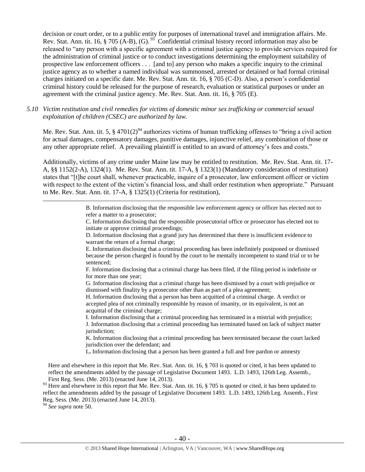decision or court order, or to a public entity for purposes of international travel and immigration affairs. Me. Rev. Stat. Ann. tit.  $16$ ,  $\S$  705 (A-B), (G).  $^{93}$  Confidential criminal history record information may also be released to "any person with a specific agreement with a criminal justice agency to provide services required for the administration of criminal justice or to conduct investigations determining the employment suitability of prospective law enforcement officers . . . [and to] any person who makes a specific inquiry to the criminal justice agency as to whether a named individual was summonsed, arrested or detained or had formal criminal charges initiated on a specific date. Me. Rev. Stat. Ann. tit. 16, § 705 (C-D). Also, a person's confidential criminal history could be released for the purpose of research, evaluation or statistical purposes or under an agreement with the criminal justice agency*.* Me. Rev. Stat. Ann. tit. 16, § 705 (E).

*5.10 Victim restitution and civil remedies for victims of domestic minor sex trafficking or commercial sexual exploitation of children (CSEC) are authorized by law.* 

Me. Rev. Stat. Ann. tit. 5,  $\S 4701(2)^{94}$  authorizes victims of human trafficking offenses to "bring a civil action" for actual damages, compensatory damages, punitive damages, injunctive relief, any combination of those or any other appropriate relief. A prevailing plaintiff is entitled to an award of attorney's fees and costs."

Additionally, victims of any crime under Maine law may be entitled to restitution. Me. Rev. Stat. Ann. tit. 17- A, §§ 1152(2-A), 1324(1). Me. Rev. Stat. Ann. tit. 17-A, § 1323(1) (Mandatory consideration of restitution) states that "[t]he court shall, whenever practicable, inquire of a prosecutor, law enforcement officer or victim with respect to the extent of the victim's financial loss, and shall order restitution when appropriate." Pursuant to Me. Rev. Stat. Ann. tit. 17-A, § 1325(1) (Criteria for restitution),

> B. Information disclosing that the responsible law enforcement agency or officer has elected not to refer a matter to a prosecutor;

> C. Information disclosing that the responsible prosecutorial office or prosecutor has elected not to initiate or approve criminal proceedings;

D. Information disclosing that a grand jury has determined that there is insufficient evidence to warrant the return of a formal charge;

E. Information disclosing that a criminal proceeding has been indefinitely postponed or dismissed because the person charged is found by the court to be mentally incompetent to stand trial or to be sentenced;

F. Information disclosing that a criminal charge has been filed, if the filing period is indefinite or for more than one year;

G. Information disclosing that a criminal charge has been dismissed by a court with prejudice or dismissed with finality by a prosecutor other than as part of a plea agreement;

H. Information disclosing that a person has been acquitted of a criminal charge. A verdict or accepted plea of not criminally responsible by reason of insanity, or its equivalent, is not an acquittal of the criminal charge;

I. Information disclosing that a criminal proceeding has terminated in a mistrial with prejudice; J. Information disclosing that a criminal proceeding has terminated based on lack of subject matter jurisdiction;

K. Information disclosing that a criminal proceeding has been terminated because the court lacked jurisdiction over the defendant; and

L**.** Information disclosing that a person has been granted a full and free pardon or amnesty

Here and elsewhere in this report that Me. Rev. Stat. Ann. tit. 16, § 703 is quoted or cited, it has been updated to reflect the amendments added by the passage of Legislative Document 1493. L.D. 1493, 126th Leg. Assemb., First Reg. Sess. (Me. 2013) (enacted June 14, 2013).

 $93$  Here and elsewhere in this report that Me. Rev. Stat. Ann. tit. 16, § 705 is quoted or cited, it has been updated to reflect the amendments added by the passage of Legislative Document 1493. L.D. 1493, 126th Leg. Assemb., First Reg. Sess. (Me. 2013) (enacted June 14, 2013).

<sup>94</sup> *See supra* note [50.](#page-19-0)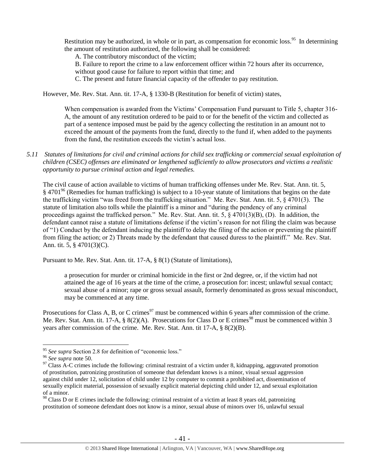Restitution may be authorized, in whole or in part, as compensation for economic loss.<sup>95</sup> In determining the amount of restitution authorized, the following shall be considered:

A. The contributory misconduct of the victim;

B. Failure to report the crime to a law enforcement officer within 72 hours after its occurrence,

without good cause for failure to report within that time; and

C. The present and future financial capacity of the offender to pay restitution.

However, Me. Rev. Stat. Ann. tit. 17-A, § 1330-B (Restitution for benefit of victim) states,

When compensation is awarded from the Victims' Compensation Fund pursuant to Title 5, chapter 316-A, the amount of any restitution ordered to be paid to or for the benefit of the victim and collected as part of a sentence imposed must be paid by the agency collecting the restitution in an amount not to exceed the amount of the payments from the fund, directly to the fund if, when added to the payments from the fund, the restitution exceeds the victim's actual loss.

*5.11 Statutes of limitations for civil and criminal actions for child sex trafficking or commercial sexual exploitation of children (CSEC) offenses are eliminated or lengthened sufficiently to allow prosecutors and victims a realistic opportunity to pursue criminal action and legal remedies.*

The civil cause of action available to victims of human trafficking offenses under Me. Rev. Stat. Ann. tit. 5, § 4701<sup>96</sup> (Remedies for human trafficking) is subject to a 10-year statute of limitations that begins on the date the trafficking victim "was freed from the trafficking situation." Me. Rev. Stat. Ann. tit. 5, § 4701(3). The statute of limitation also tolls while the plaintiff is a minor and "during the pendency of any criminal proceedings against the trafficked person." Me. Rev. Stat. Ann. tit. 5, § 4701(3)(B), (D). In addition, the defendant cannot raise a statute of limitations defense if the victim's reason for not filing the claim was because of "1) Conduct by the defendant inducing the plaintiff to delay the filing of the action or preventing the plaintiff from filing the action; or 2) Threats made by the defendant that caused duress to the plaintiff." Me. Rev. Stat. Ann. tit. 5, § 4701(3)(C).

Pursuant to Me. Rev. Stat. Ann. tit. 17-A, § 8(1) (Statute of limitations),

a prosecution for murder or criminal homicide in the first or 2nd degree, or, if the victim had not attained the age of 16 years at the time of the crime, a prosecution for: incest; unlawful sexual contact; sexual abuse of a minor; rape or gross sexual assault, formerly denominated as gross sexual misconduct, may be commenced at any time.

Prosecutions for Class A, B, or C crimes<sup>97</sup> must be commenced within 6 years after commission of the crime. Me. Rev. Stat. Ann. tit. 17-A, § 8(2)(A). Prosecutions for Class D or E crimes<sup>98</sup> must be commenced within 3 years after commission of the crime. Me. Rev. Stat. Ann. tit 17-A, § 8(2)(B).

<sup>&</sup>lt;sup>95</sup> See supra Section 2.8 for definition of "economic loss."

<sup>96</sup> *See supra* note [50.](#page-19-0)

 $97$  Class A-C crimes include the following: criminal restraint of a victim under 8, kidnapping, aggravated promotion of prostitution, patronizing prostitution of someone that defendant knows is a minor, visual sexual aggression against child under 12, solicitation of child under 12 by computer to commit a prohibited act, dissemination of sexually explicit material, possession of sexually explicit material depicting child under 12, and sexual exploitation of a minor.

<sup>&</sup>lt;sup>98</sup> Class D or E crimes include the following: criminal restraint of a victim at least 8 years old, patronizing prostitution of someone defendant does not know is a minor, sexual abuse of minors over 16, unlawful sexual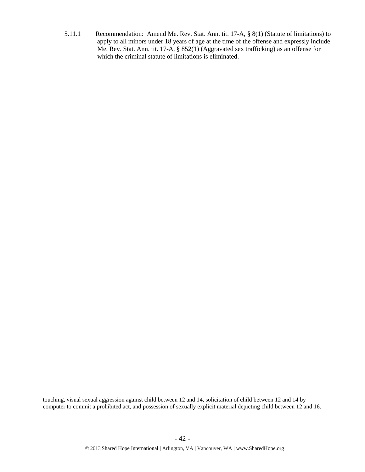5.11.1 Recommendation: Amend Me. Rev. Stat. Ann. tit. 17-A, § 8(1) (Statute of limitations) to apply to all minors under 18 years of age at the time of the offense and expressly include Me. Rev. Stat. Ann. tit. 17-A, § 852(1) (Aggravated sex trafficking) as an offense for which the criminal statute of limitations is eliminated.

touching, visual sexual aggression against child between 12 and 14, solicitation of child between 12 and 14 by computer to commit a prohibited act, and possession of sexually explicit material depicting child between 12 and 16.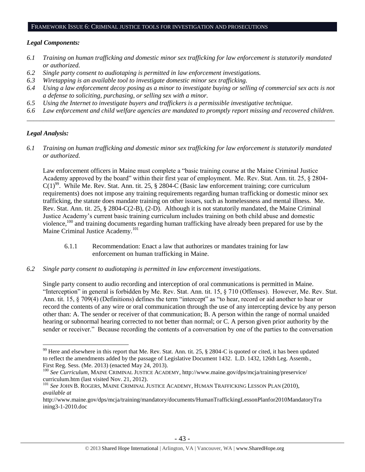#### FRAMEWORK ISSUE 6: CRIMINAL JUSTICE TOOLS FOR INVESTIGATION AND PROSECUTIONS

#### *Legal Components:*

- *6.1 Training on human trafficking and domestic minor sex trafficking for law enforcement is statutorily mandated or authorized.*
- *6.2 Single party consent to audiotaping is permitted in law enforcement investigations.*
- *6.3 Wiretapping is an available tool to investigate domestic minor sex trafficking.*
- *6.4 Using a law enforcement decoy posing as a minor to investigate buying or selling of commercial sex acts is not a defense to soliciting, purchasing, or selling sex with a minor.*
- *6.5 Using the Internet to investigate buyers and traffickers is a permissible investigative technique.*
- *6.6 Law enforcement and child welfare agencies are mandated to promptly report missing and recovered children. \_\_\_\_\_\_\_\_\_\_\_\_\_\_\_\_\_\_\_\_\_\_\_\_\_\_\_\_\_\_\_\_\_\_\_\_\_\_\_\_\_\_\_\_\_\_\_\_\_\_\_\_\_\_\_\_\_\_\_\_\_\_\_\_\_\_\_\_\_\_\_\_\_\_\_\_\_\_\_\_\_\_\_\_\_\_\_\_\_\_\_\_\_\_*

## *Legal Analysis:*

 $\overline{a}$ 

*6.1 Training on human trafficking and domestic minor sex trafficking for law enforcement is statutorily mandated or authorized.*

Law enforcement officers in Maine must complete a "basic training course at the Maine Criminal Justice Academy approved by the board" within their first year of employment. Me. Rev. Stat. Ann. tit. 25, § 2804-  $C(1)^{99}$ . While Me. Rev. Stat. Ann. tit. 25, § 2804-C (Basic law enforcement training; core curriculum requirements) does not impose any training requirements regarding human trafficking or domestic minor sex trafficking, the statute does mandate training on other issues, such as homelessness and mental illness. Me. Rev. Stat. Ann. tit. 25, § 2804-C(2-B), (2-D). Although it is not statutorily mandated, the Maine Criminal Justice Academy's current basic training curriculum includes training on both child abuse and domestic violence,<sup>100</sup> and training documents regarding human trafficking have already been prepared for use by the Maine Criminal Justice Academy.<sup>101</sup>

- 6.1.1 Recommendation: Enact a law that authorizes or mandates training for law enforcement on human trafficking in Maine.
- *6.2 Single party consent to audiotaping is permitted in law enforcement investigations.*

Single party consent to audio recording and interception of oral communications is permitted in Maine. "Interception" in general is forbidden by Me. Rev. Stat. Ann. tit. 15, § 710 (Offenses). However, Me. Rev. Stat. Ann. tit. 15, § 709(4) (Definitions) defines the term "intercept" as "to hear, record or aid another to hear or record the contents of any wire or oral communication through the use of any intercepting device by any person other than: A. The sender or receiver of that communication; B. A person within the range of normal unaided hearing or subnormal hearing corrected to not better than normal; or C. A person given prior authority by the sender or receiver." Because recording the contents of a conversation by one of the parties to the conversation

<sup>&</sup>lt;sup>99</sup> Here and elsewhere in this report that Me. Rev. Stat. Ann. tit. 25,  $\S$  2804-C is quoted or cited, it has been updated to reflect the amendments added by the passage of Legislative Document 1432. L.D. 1432, 126th Leg. Assemb., First Reg. Sess. (Me. 2013) (enacted May 24, 2013).

<sup>100</sup> *See Curriculum*, MAINE CRIMINAL JUSTICE ACADEMY, http://www.maine.gov/dps/mcja/training/preservice/ curriculum.htm (last visited Nov. 21, 2012).

<sup>101</sup> *See* JOHN B. ROGERS, MAINE CRIMINAL JUSTICE ACADEMY, HUMAN TRAFFICKING LESSON PLAN (2010), *available at*

http://www.maine.gov/dps/mcja/training/mandatory/documents/HumanTraffickingLessonPlanfor2010MandatoryTra ining3-1-2010.doc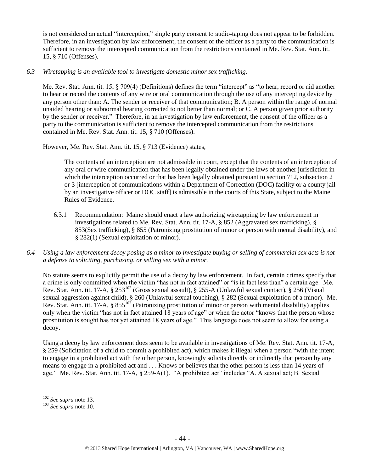is not considered an actual "interception," single party consent to audio-taping does not appear to be forbidden. Therefore, in an investigation by law enforcement, the consent of the officer as a party to the communication is sufficient to remove the intercepted communication from the restrictions contained in Me. Rev. Stat. Ann. tit. 15, § 710 (Offenses).

# *6.3 Wiretapping is an available tool to investigate domestic minor sex trafficking.*

Me. Rev. Stat. Ann. tit. 15, § 709(4) (Definitions) defines the term "intercept" as "to hear, record or aid another to hear or record the contents of any wire or oral communication through the use of any intercepting device by any person other than: A. The sender or receiver of that communication; B. A person within the range of normal unaided hearing or subnormal hearing corrected to not better than normal; or C. A person given prior authority by the sender or receiver." Therefore, in an investigation by law enforcement, the consent of the officer as a party to the communication is sufficient to remove the intercepted communication from the restrictions contained in Me. Rev. Stat. Ann. tit. 15, § 710 (Offenses).

However, Me. Rev. Stat. Ann. tit. 15, § 713 (Evidence) states,

The contents of an interception are not admissible in court, except that the contents of an interception of any oral or wire communication that has been legally obtained under the laws of another jurisdiction in which the interception occurred or that has been legally obtained pursuant to section 712, subsection 2 or 3 [interception of communications within a Department of Correction (DOC) facility or a county jail by an investigative officer or DOC staff] is admissible in the courts of this State, subject to the Maine Rules of Evidence.

- 6.3.1 Recommendation: Maine should enact a law authorizing wiretapping by law enforcement in investigations related to Me. Rev. Stat. Ann. tit. 17-A, § 852 (Aggravated sex trafficking), § 853(Sex trafficking), § 855 (Patronizing prostitution of minor or person with mental disability), and § 282(1) (Sexual exploitation of minor).
- *6.4 Using a law enforcement decoy posing as a minor to investigate buying or selling of commercial sex acts is not a defense to soliciting, purchasing, or selling sex with a minor.*

No statute seems to explicitly permit the use of a decoy by law enforcement. In fact, certain crimes specify that a crime is only committed when the victim "has not in fact attained" or "is in fact less than" a certain age. Me. Rev. Stat. Ann. tit. 17-A, § 253<sup>102</sup> (Gross sexual assault), § 255-A (Unlawful sexual contact), § 256 (Visual sexual aggression against child), § 260 (Unlawful sexual touching), § 282 (Sexual exploitation of a minor). Me. Rev. Stat. Ann. tit. 17-A,  $\S 855^{103}$  (Patronizing prostitution of minor or person with mental disability) applies only when the victim "has not in fact attained 18 years of age" or when the actor "knows that the person whose prostitution is sought has not yet attained 18 years of age." This language does not seem to allow for using a decoy.

Using a decoy by law enforcement does seem to be available in investigations of Me. Rev. Stat. Ann. tit. 17-A, § 259 (Solicitation of a child to commit a prohibited act), which makes it illegal when a person "with the intent to engage in a prohibited act with the other person, knowingly solicits directly or indirectly that person by any means to engage in a prohibited act and . . . Knows or believes that the other person is less than 14 years of age." Me. Rev. Stat. Ann. tit. 17-A, § 259-A(1). "A prohibited act" includes "A. A sexual act; B. Sexual

<sup>102</sup> *See supra* not[e 13.](#page-4-0)

<sup>103</sup> *See supra* not[e 10.](#page-2-0)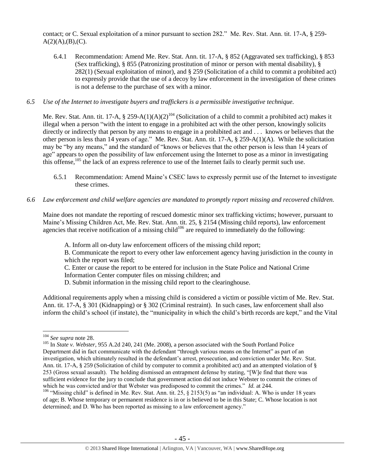contact; or C. Sexual exploitation of a minor pursuant to section 282." Me. Rev. Stat. Ann. tit. 17-A, § 259-  $A(2)(A),(B),(C).$ 

- 6.4.1 Recommendation: Amend Me. Rev. Stat. Ann. tit. 17-A, § 852 (Aggravated sex trafficking), § 853 (Sex trafficking), § 855 (Patronizing prostitution of minor or person with mental disability), § 282(1) (Sexual exploitation of minor), and § 259 (Solicitation of a child to commit a prohibited act) to expressly provide that the use of a decoy by law enforcement in the investigation of these crimes is not a defense to the purchase of sex with a minor.
- *6.5 Use of the Internet to investigate buyers and traffickers is a permissible investigative technique.*

Me. Rev. Stat. Ann. tit. 17-A,  $\S 259-A(1)(A)(2)^{104}$  (Solicitation of a child to commit a prohibited act) makes it illegal when a person "with the intent to engage in a prohibited act with the other person, knowingly solicits directly or indirectly that person by any means to engage in a prohibited act and . . . knows or believes that the other person is less than 14 years of age." Me. Rev. Stat. Ann. tit. 17-A, § 259-A(1)(A). While the solicitation may be "by any means," and the standard of "knows or believes that the other person is less than 14 years of age" appears to open the possibility of law enforcement using the Internet to pose as a minor in investigating this offense, <sup>105</sup> the lack of an express reference to use of the Internet fails to clearly permit such use.

- 6.5.1 Recommendation: Amend Maine's CSEC laws to expressly permit use of the Internet to investigate these crimes.
- *6.6 Law enforcement and child welfare agencies are mandated to promptly report missing and recovered children.*

Maine does not mandate the reporting of rescued domestic minor sex trafficking victims; however, pursuant to Maine's Missing Children Act, Me. Rev. Stat. Ann. tit. 25, § 2154 (Missing child reports), law enforcement agencies that receive notification of a missing child<sup>106</sup> are required to immediately do the following:

A. Inform all on-duty law enforcement officers of the missing child report;

B. Communicate the report to every other law enforcement agency having jurisdiction in the county in which the report was filed;

C. Enter or cause the report to be entered for inclusion in the State Police and National Crime Information Center computer files on missing children; and

D. Submit information in the missing child report to the clearinghouse.

Additional requirements apply when a missing child is considered a victim or possible victim of Me. Rev. Stat. Ann. tit. 17-A, § 301 (Kidnapping) or § 302 (Criminal restraint). In such cases, law enforcement shall also inform the child's school (if instate), the "municipality in which the child's birth records are kept," and the Vital

<sup>104</sup> *See supra* not[e 28.](#page-9-0)

<sup>&</sup>lt;sup>105</sup> In *State v. Webster*, 955 A.2d 240, 241 (Me. 2008), a person associated with the South Portland Police Department did in fact communicate with the defendant "through various means on the Internet" as part of an investigation, which ultimately resulted in the defendant's arrest, prosecution, and conviction under Me. Rev. Stat. Ann. tit. 17-A, § 259 (Solicitation of child by computer to commit a prohibited act) and an attempted violation of § 253 (Gross sexual assault). The holding dismissed an entrapment defense by stating, "[W]e find that there was sufficient evidence for the jury to conclude that government action did not induce Webster to commit the crimes of which he was convicted and/or that Webster was predisposed to commit the crimes." *Id.* at 244.

<sup>&</sup>lt;sup>106</sup> "Missing child" is defined in Me. Rev. Stat. Ann. tit. 25, § 2153(5) as "an individual: A. Who is under 18 years of age; B. Whose temporary or permanent residence is in or is believed to be in this State; C. Whose location is not determined; and D. Who has been reported as missing to a law enforcement agency."